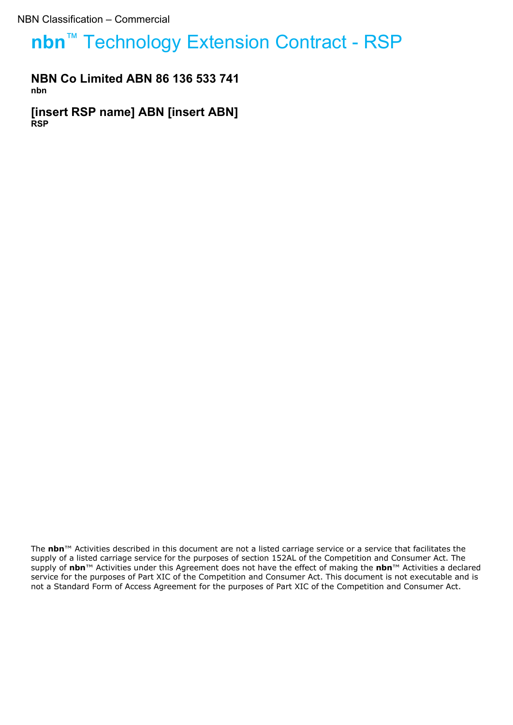# **nbn**™ Technology Extension Contract - RSP

## **NBN Co Limited ABN 86 136 533 741 nbn**

**[insert RSP name] ABN [insert ABN] RSP**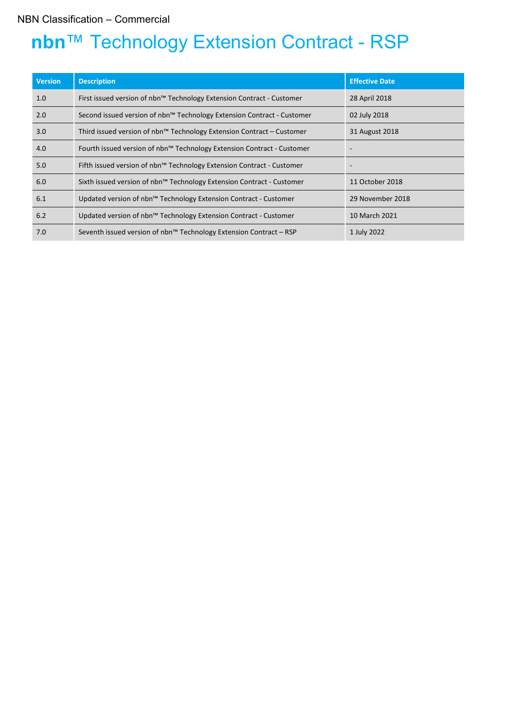# **nbn**™ Technology Extension Contract - RSP

| <b>Version</b> | <b>Description</b>                                                     | <b>Effective Date</b> |
|----------------|------------------------------------------------------------------------|-----------------------|
| 1.0            | First issued version of nbn™ Technology Extension Contract - Customer  | 28 April 2018         |
| 2.0            | Second issued version of nbn™ Technology Extension Contract - Customer | 02 July 2018          |
| 3.0            | Third issued version of nbn™ Technology Extension Contract – Customer  | 31 August 2018        |
| 4.0            | Fourth issued version of nbn™ Technology Extension Contract - Customer |                       |
| 5.0            | Fifth issued version of nbn™ Technology Extension Contract - Customer  |                       |
| 6.0            | Sixth issued version of nbn™ Technology Extension Contract - Customer  | 11 October 2018       |
| 6.1            | Updated version of nbn™ Technology Extension Contract - Customer       | 29 November 2018      |
| 6.2            | Updated version of nbn™ Technology Extension Contract - Customer       | 10 March 2021         |
| 7.0            | Seventh issued version of nbn™ Technology Extension Contract – RSP     | 1 July 2022           |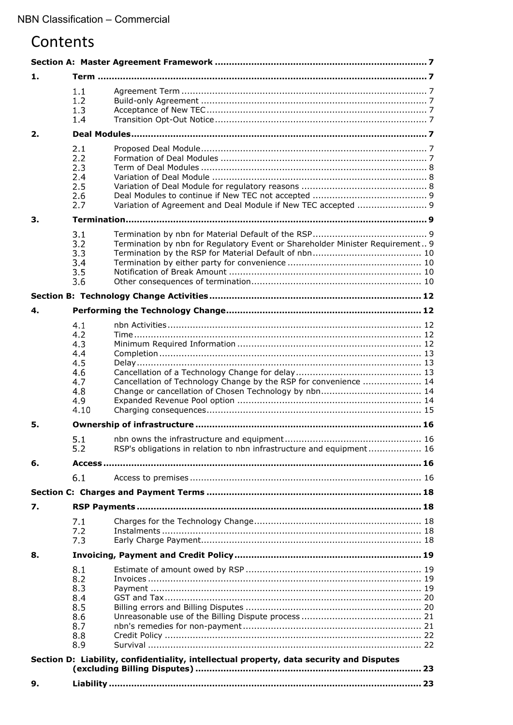# Contents

| 1. |            |                                                                                          |  |
|----|------------|------------------------------------------------------------------------------------------|--|
|    | 1.1        |                                                                                          |  |
|    | 1.2        |                                                                                          |  |
|    | 1.3<br>1.4 |                                                                                          |  |
| 2. |            |                                                                                          |  |
|    |            |                                                                                          |  |
|    | 2.1<br>2.2 |                                                                                          |  |
|    | 2.3        |                                                                                          |  |
|    | 2.4        |                                                                                          |  |
|    | 2.5        |                                                                                          |  |
|    | 2.6<br>2.7 |                                                                                          |  |
|    |            |                                                                                          |  |
| 3. |            |                                                                                          |  |
|    | 3.1        |                                                                                          |  |
|    | 3.2<br>3.3 | Termination by nbn for Regulatory Event or Shareholder Minister Requirement 9            |  |
|    | 3.4        |                                                                                          |  |
|    | 3.5        |                                                                                          |  |
|    | 3.6        |                                                                                          |  |
|    |            |                                                                                          |  |
| 4. |            |                                                                                          |  |
|    | 4.1        |                                                                                          |  |
|    | 4.2        |                                                                                          |  |
|    | 4.3        |                                                                                          |  |
|    | 4.4        |                                                                                          |  |
|    | 4.5<br>4.6 |                                                                                          |  |
|    | 4.7        | Cancellation of Technology Change by the RSP for convenience  14                         |  |
|    | 4.8        |                                                                                          |  |
|    | 4.9        |                                                                                          |  |
|    | 4.10       |                                                                                          |  |
| 5. |            |                                                                                          |  |
|    | 5.1        |                                                                                          |  |
|    | 5.2        | RSP's obligations in relation to nbn infrastructure and equipment 16                     |  |
| 6. |            |                                                                                          |  |
|    | 6.1        |                                                                                          |  |
|    |            |                                                                                          |  |
| 7. |            |                                                                                          |  |
|    | 7.1        |                                                                                          |  |
|    | 7.2        |                                                                                          |  |
|    | 7.3        |                                                                                          |  |
| 8. |            |                                                                                          |  |
|    | 8.1        |                                                                                          |  |
|    | 8.2        |                                                                                          |  |
|    | 8.3<br>8.4 |                                                                                          |  |
|    | 8.5        |                                                                                          |  |
|    | 8.6        |                                                                                          |  |
|    | 8.7        |                                                                                          |  |
|    | 8.8<br>8.9 |                                                                                          |  |
|    |            |                                                                                          |  |
|    |            | Section D: Liability, confidentiality, intellectual property, data security and Disputes |  |
| 9. |            |                                                                                          |  |
|    |            |                                                                                          |  |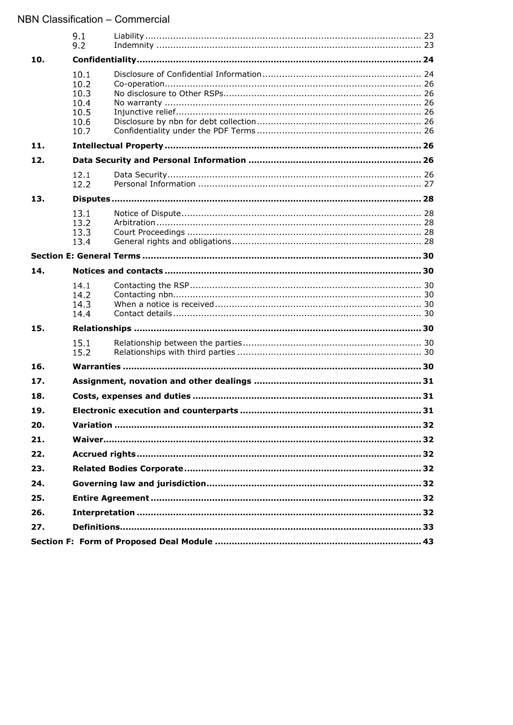|            | 9.1<br>9.2                                           |  |
|------------|------------------------------------------------------|--|
| 10.        |                                                      |  |
|            | 10.1<br>10.2<br>10.3<br>10.4<br>10.5<br>10.6<br>10.7 |  |
| 11.        |                                                      |  |
| 12.        |                                                      |  |
|            | 12.1<br>12.2                                         |  |
| 13.        |                                                      |  |
|            | 13.1<br>13.2<br>13.3<br>13.4                         |  |
|            |                                                      |  |
| 14.        |                                                      |  |
|            | 14.1<br>14.2<br>14.3<br>14.4                         |  |
| 15.        |                                                      |  |
|            | 15.1<br>15.2                                         |  |
| 16.        |                                                      |  |
| 17.        |                                                      |  |
| 18.        |                                                      |  |
| 19.        |                                                      |  |
| 20.        |                                                      |  |
| 21.        |                                                      |  |
| 22.        |                                                      |  |
| 23.        |                                                      |  |
| 24.        |                                                      |  |
| 25.<br>26. |                                                      |  |
| 27.        |                                                      |  |
|            |                                                      |  |
|            |                                                      |  |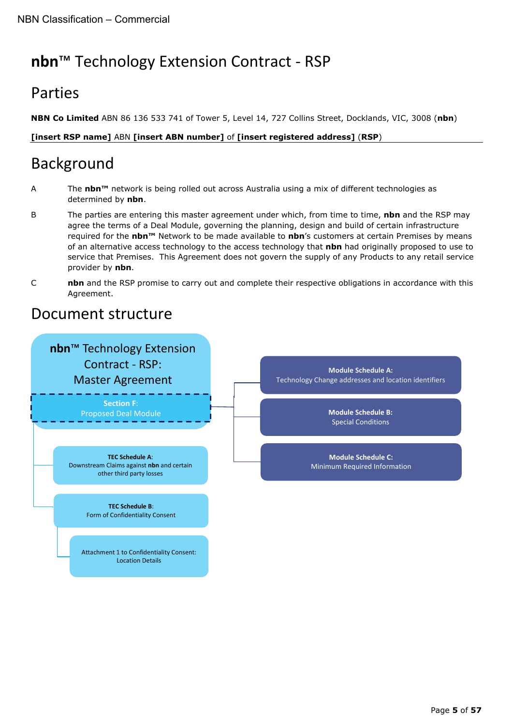# **nbn**™ Technology Extension Contract - RSP

# Parties

**NBN Co Limited** ABN 86 136 533 741 of Tower 5, Level 14, 727 Collins Street, Docklands, VIC, 3008 (**nbn**)

## **[insert RSP name]** ABN **[insert ABN number]** of **[insert registered address]** (**RSP**)

# Background

- A The **nbn™** network is being rolled out across Australia using a mix of different technologies as determined by **nbn**.
- B The parties are entering this master agreement under which, from time to time, **nbn** and the RSP may agree the terms of a Deal Module, governing the planning, design and build of certain infrastructure required for the **nbn™** Network to be made available to **nbn**'s customers at certain Premises by means of an alternative access technology to the access technology that **nbn** had originally proposed to use to service that Premises. This Agreement does not govern the supply of any Products to any retail service provider by **nbn**.
- C **nbn** and the RSP promise to carry out and complete their respective obligations in accordance with this Agreement.

# Document structure

## **Section F**: Proposed Deal Module **TEC Schedule A**: Downstream Claims against **nbn** and certain other third party losses **TEC Schedule B**: Form of Confidentiality Consent Attachment 1 to Confidentiality Consent: Location Details **Module Schedule A:** Technology Change addresses and location identifiers **Module Schedule B:** Special Conditions **Module Schedule C:** Minimum Required Information **nbn**™ Technology Extension Contract - RSP: Master Agreement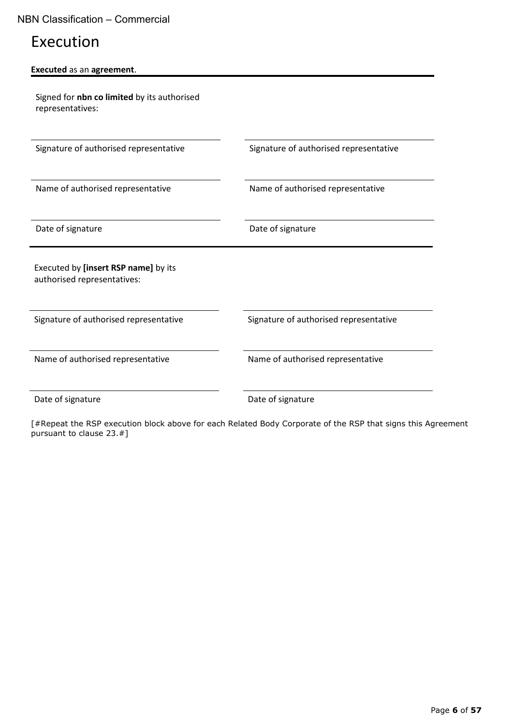# Execution

| <b>Executed as an agreement.</b> |  |
|----------------------------------|--|
|----------------------------------|--|

Signed for **nbn co limited** by its authorised representatives:

Signature of authorised representative Signature of authorised representative

Name of authorised representative Name of authorised representative

Date of signature Date of signature

Executed by **[insert RSP name]** by its authorised representatives:

Signature of authorised representative Signature of authorised representative

Name of authorised representative Name of authorised representative

Date of signature Date of signature

[#Repeat the RSP execution block above for each Related Body Corporate of the RSP that signs this Agreement pursuant to clause [23.](#page-31-3)#]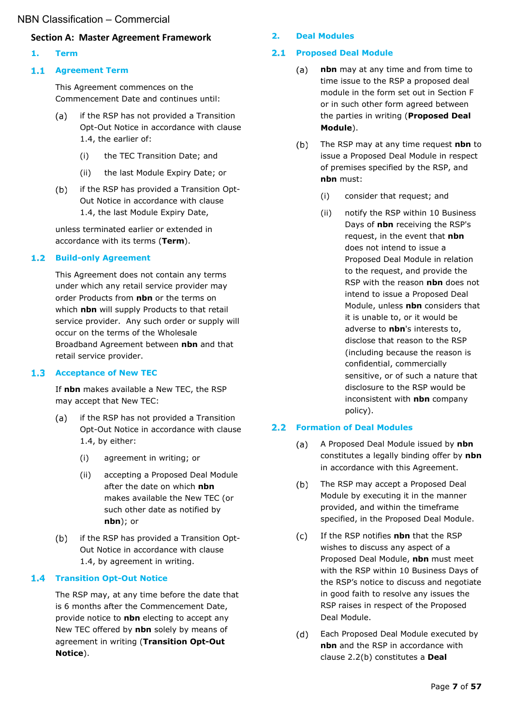#### <span id="page-6-0"></span>**Section A: Master Agreement Framework**

<span id="page-6-1"></span>**1. Term**

#### <span id="page-6-2"></span>**Agreement Term**

This Agreement commences on the Commencement Date and continues until:

- $(a)$ if the RSP has not provided a Transition Opt-Out Notice in accordance with clause [1.4,](#page-6-5) the earlier of:
	- (i) the TEC Transition Date; and
	- (ii) the last Module Expiry Date; or
- $(b)$ if the RSP has provided a Transition Opt-Out Notice in accordance with clause [1.4,](#page-6-5) the last Module Expiry Date,

unless terminated earlier or extended in accordance with its terms (**Term**).

#### <span id="page-6-3"></span>**1.2 Build-only Agreement**

This Agreement does not contain any terms under which any retail service provider may order Products from **nbn** or the terms on which **nbn** will supply Products to that retail service provider. Any such order or supply will occur on the terms of the Wholesale Broadband Agreement between **nbn** and that retail service provider.

#### <span id="page-6-4"></span>**Acceptance of New TEC**

If **nbn** makes available a New TEC, the RSP may accept that New TEC:

- $(a)$ if the RSP has not provided a Transition Opt-Out Notice in accordance with clause [1.4,](#page-6-5) by either:
	- (i) agreement in writing; or
	- (ii) accepting a Proposed Deal Module after the date on which **nbn** makes available the New TEC (or such other date as notified by **nbn**); or
- $(b)$ if the RSP has provided a Transition Opt-Out Notice in accordance with clause [1.4,](#page-6-5) by agreement in writing.

#### <span id="page-6-5"></span>**1.4 Transition Opt-Out Notice**

The RSP may, at any time before the date that is 6 months after the Commencement Date, provide notice to **nbn** electing to accept any New TEC offered by **nbn** solely by means of agreement in writing (**Transition Opt-Out Notice**).

#### <span id="page-6-6"></span>**2. Deal Modules**

#### <span id="page-6-11"></span><span id="page-6-7"></span>**Proposed Deal Module**

- $(a)$ **nbn** may at any time and from time to time issue to the RSP a proposed deal module in the form set out in Section F or in such other form agreed between the parties in writing (**Proposed Deal Module**).
- $(b)$ The RSP may at any time request **nbn** to issue a Proposed Deal Module in respect of premises specified by the RSP, and **nbn** must:
	- (i) consider that request; and
	- (ii) notify the RSP within 10 Business Days of **nbn** receiving the RSP's request, in the event that **nbn** does not intend to issue a Proposed Deal Module in relation to the request, and provide the RSP with the reason **nbn** does not intend to issue a Proposed Deal Module, unless **nbn** considers that it is unable to, or it would be adverse to **nbn**'s interests to, disclose that reason to the RSP (including because the reason is confidential, commercially sensitive, or of such a nature that disclosure to the RSP would be inconsistent with **nbn** company policy).

#### <span id="page-6-8"></span>**Formation of Deal Modules**

- $(a)$ A Proposed Deal Module issued by **nbn** constitutes a legally binding offer by **nbn** in accordance with this Agreement.
- <span id="page-6-9"></span> $(b)$ The RSP may accept a Proposed Deal Module by executing it in the manner provided, and within the timeframe specified, in the Proposed Deal Module.
- If the RSP notifies **nbn** that the RSP  $(c)$ wishes to discuss any aspect of a Proposed Deal Module, **nbn** must meet with the RSP within 10 Business Days of the RSP's notice to discuss and negotiate in good faith to resolve any issues the RSP raises in respect of the Proposed Deal Module.
- <span id="page-6-10"></span>Each Proposed Deal Module executed by  $(d)$ **nbn** and the RSP in accordance with clause [2.2\(b\)](#page-6-9) constitutes a **Deal**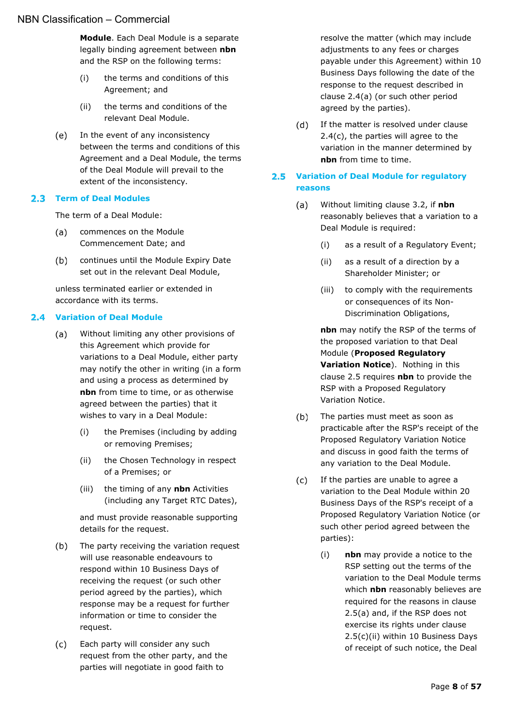**Module**. Each Deal Module is a separate legally binding agreement between **nbn** and the RSP on the following terms:

- <span id="page-7-7"></span>(i) the terms and conditions of this Agreement; and
- (ii) the terms and conditions of the relevant Deal Module.
- <span id="page-7-8"></span> $(e)$ In the event of any inconsistency between the terms and conditions of this Agreement and a Deal Module, the terms of the Deal Module will prevail to the extent of the inconsistency.

## <span id="page-7-0"></span>**Term of Deal Modules**

The term of a Deal Module:

- commences on the Module  $(a)$ Commencement Date; and
- $(b)$ continues until the Module Expiry Date set out in the relevant Deal Module,

unless terminated earlier or extended in accordance with its terms.

## <span id="page-7-3"></span><span id="page-7-1"></span>**Variation of Deal Module**

- $(a)$ Without limiting any other provisions of this Agreement which provide for variations to a Deal Module, either party may notify the other in writing (in a form and using a process as determined by **nbn** from time to time, or as otherwise agreed between the parties) that it wishes to vary in a Deal Module:
	- (i) the Premises (including by adding or removing Premises;
	- (ii) the Chosen Technology in respect of a Premises; or
	- (iii) the timing of any **nbn** Activities (including any Target RTC Dates),

and must provide reasonable supporting details for the request.

- $(b)$ The party receiving the variation request will use reasonable endeavours to respond within 10 Business Days of receiving the request (or such other period agreed by the parties), which response may be a request for further information or time to consider the request.
- <span id="page-7-4"></span> $(c)$ Each party will consider any such request from the other party, and the parties will negotiate in good faith to

resolve the matter (which may include adjustments to any fees or charges payable under this Agreement) within 10 Business Days following the date of the response to the request described in clause [2.4\(a\)](#page-7-3) (or such other period agreed by the parties).

 $(d)$ If the matter is resolved under clause [2.4\(c\),](#page-7-4) the parties will agree to the variation in the manner determined by **nbn** from time to time.

### <span id="page-7-2"></span>**Variation of Deal Module for regulatory reasons**

- <span id="page-7-5"></span> $(a)$ Without limiting clause [3.2,](#page-8-4) if **nbn** reasonably believes that a variation to a Deal Module is required:
	- (i) as a result of a Regulatory Event;
	- (ii) as a result of a direction by a Shareholder Minister; or
	- (iii) to comply with the requirements or consequences of its Non-Discrimination Obligations,

**nbn** may notify the RSP of the terms of the proposed variation to that Deal Module (**Proposed Regulatory Variation Notice**). Nothing in this clause [2.5](#page-7-2) requires **nbn** to provide the RSP with a Proposed Regulatory Variation Notice.

- $(b)$ The parties must meet as soon as practicable after the RSP's receipt of the Proposed Regulatory Variation Notice and discuss in good faith the terms of any variation to the Deal Module.
- <span id="page-7-6"></span> $(c)$ If the parties are unable to agree a variation to the Deal Module within 20 Business Days of the RSP's receipt of a Proposed Regulatory Variation Notice (or such other period agreed between the parties):
	- (i) **nbn** may provide a notice to the RSP setting out the terms of the variation to the Deal Module terms which **nbn** reasonably believes are required for the reasons in clause [2.5\(a\)](#page-7-5) and, if the RSP does not exercise its rights under clause [2.5\(c\)\(ii\)](#page-8-5) within 10 Business Days of receipt of such notice, the Deal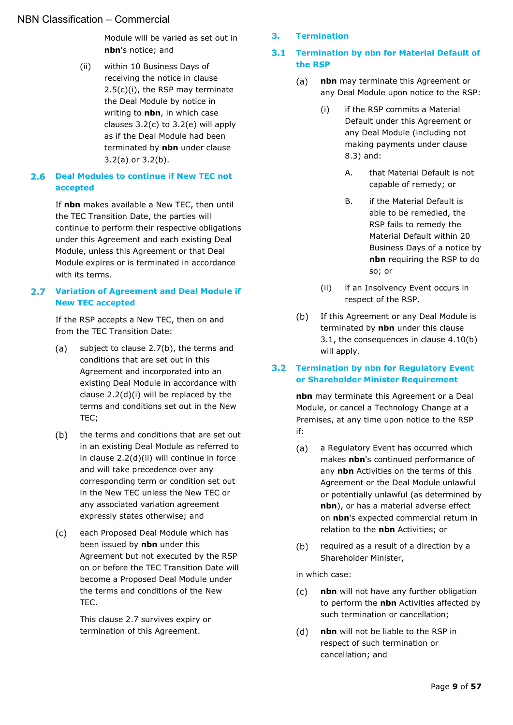Module will be varied as set out in **nbn**'s notice; and

<span id="page-8-5"></span>(ii) within 10 Business Days of receiving the notice in clause [2.5\(c\)\(i\),](#page-7-6) the RSP may terminate the Deal Module by notice in writing to **nbn**, in which case clauses  $3.2(c)$  to  $3.2(e)$  will apply as if the Deal Module had been terminated by **nbn** under clause [3.2\(a\)](#page-8-7) or [3.2\(b\).](#page-8-8)

### <span id="page-8-0"></span>**Deal Modules to continue if New TEC not accepted**

If **nbn** makes available a New TEC, then until the TEC Transition Date, the parties will continue to perform their respective obligations under this Agreement and each existing Deal Module, unless this Agreement or that Deal Module expires or is terminated in accordance with its terms.

#### <span id="page-8-1"></span>**Variation of Agreement and Deal Module if**   $2.7$ **New TEC accepted**

If the RSP accepts a New TEC, then on and from the TEC Transition Date:

- subject to clause [2.7\(b\),](#page-8-9) the terms and  $(a)$ conditions that are set out in this Agreement and incorporated into an existing Deal Module in accordance with clause [2.2\(d\)\(i\)](#page-7-7) will be replaced by the terms and conditions set out in the New TEC;
- <span id="page-8-9"></span> $(b)$ the terms and conditions that are set out in an existing Deal Module as referred to in clause [2.2\(d\)\(ii\)](#page-7-8) will continue in force and will take precedence over any corresponding term or condition set out in the New TEC unless the New TEC or any associated variation agreement expressly states otherwise; and
- $(c)$ each Proposed Deal Module which has been issued by **nbn** under this Agreement but not executed by the RSP on or before the TEC Transition Date will become a Proposed Deal Module under the terms and conditions of the New TEC.

This clause [2.7](#page-8-1) survives expiry or termination of this Agreement.

#### <span id="page-8-2"></span>**3. Termination**

#### <span id="page-8-3"></span>**Termination by nbn for Material Default of the RSP**

- <span id="page-8-11"></span><span id="page-8-10"></span> $(a)$ **nbn** may terminate this Agreement or any Deal Module upon notice to the RSP:
	- (i) if the RSP commits a Material Default under this Agreement or any Deal Module (including not making payments under clause [8.3\)](#page-18-3) and:
		- A. that Material Default is not capable of remedy; or
		- B. if the Material Default is able to be remedied, the RSP fails to remedy the Material Default within 20 Business Days of a notice by **nbn** requiring the RSP to do so; or
	- (ii) if an Insolvency Event occurs in respect of the RSP.
- $(b)$ If this Agreement or any Deal Module is terminated by **nbn** under this clause [3.1,](#page-8-3) the consequences in clause [4.10\(b\)](#page-15-5) will apply.

#### <span id="page-8-4"></span>**Termination by nbn for Regulatory Event or Shareholder Minister Requirement**

**nbn** may terminate this Agreement or a Deal Module, or cancel a Technology Change at a Premises, at any time upon notice to the RSP if:

- <span id="page-8-7"></span>a Regulatory Event has occurred which  $(a)$ makes **nbn**'s continued performance of any **nbn** Activities on the terms of this Agreement or the Deal Module unlawful or potentially unlawful (as determined by **nbn**), or has a material adverse effect on **nbn**'s expected commercial return in relation to the **nbn** Activities; or
- <span id="page-8-8"></span> $(b)$ required as a result of a direction by a Shareholder Minister,

in which case:

- <span id="page-8-6"></span>**nbn** will not have any further obligation  $(c)$ to perform the **nbn** Activities affected by such termination or cancellation;
- $(d)$ **nbn** will not be liable to the RSP in respect of such termination or cancellation; and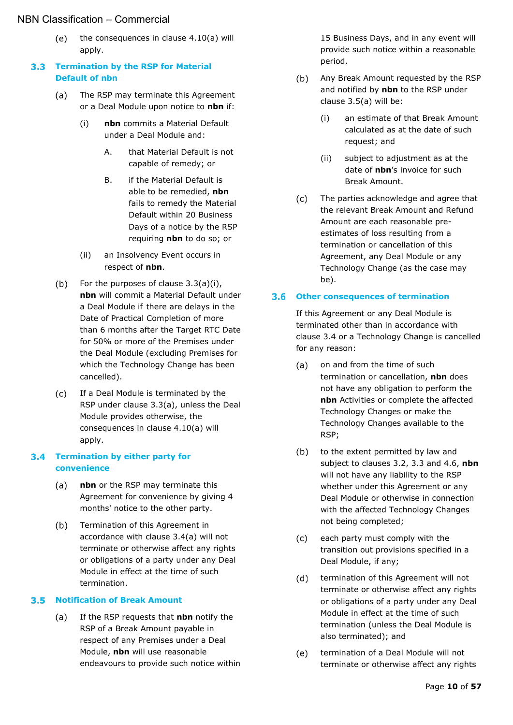<span id="page-9-4"></span> $(e)$ the consequences in clause [4.10\(a\)](#page-14-1) will apply.

## <span id="page-9-0"></span>**Termination by the RSP for Material Default of nbn**

- <span id="page-9-6"></span><span id="page-9-5"></span> $(a)$ The RSP may terminate this Agreement or a Deal Module upon notice to **nbn** if:
	- (i) **nbn** commits a Material Default under a Deal Module and:
		- A. that Material Default is not capable of remedy; or
		- B. if the Material Default is able to be remedied, **nbn** fails to remedy the Material Default within 20 Business Days of a notice by the RSP requiring **nbn** to do so; or
	- (ii) an Insolvency Event occurs in respect of **nbn**.
- For the purposes of clause [3.3\(a\)\(i\),](#page-9-5)  $(b)$ **nbn** will commit a Material Default under a Deal Module if there are delays in the Date of Practical Completion of more than 6 months after the Target RTC Date for 50% or more of the Premises under the Deal Module (excluding Premises for which the Technology Change has been cancelled).
- If a Deal Module is terminated by the  $(c)$ RSP under clause [3.3\(a\),](#page-9-6) unless the Deal Module provides otherwise, the consequences in clause [4.10\(a\)](#page-14-1) will apply.

## <span id="page-9-1"></span>**Termination by either party for convenience**

- <span id="page-9-7"></span> $(a)$ **nbn** or the RSP may terminate this Agreement for convenience by giving 4 months' notice to the other party.
- $(b)$ Termination of this Agreement in accordance with clause [3.4\(a\)](#page-9-7) will not terminate or otherwise affect any rights or obligations of a party under any Deal Module in effect at the time of such termination.

## <span id="page-9-8"></span><span id="page-9-2"></span>**Notification of Break Amount**

 $(a)$ If the RSP requests that **nbn** notify the RSP of a Break Amount payable in respect of any Premises under a Deal Module, **nbn** will use reasonable endeavours to provide such notice within

15 Business Days, and in any event will provide such notice within a reasonable period.

- Any Break Amount requested by the RSP  $(b)$ and notified by **nbn** to the RSP under clause [3.5\(a\)](#page-9-8) will be:
	- (i) an estimate of that Break Amount calculated as at the date of such request; and
	- (ii) subject to adjustment as at the date of **nbn**'s invoice for such Break Amount.
- The parties acknowledge and agree that  $(c)$ the relevant Break Amount and Refund Amount are each reasonable preestimates of loss resulting from a termination or cancellation of this Agreement, any Deal Module or any Technology Change (as the case may be).

## <span id="page-9-3"></span>**Other consequences of termination**

If this Agreement or any Deal Module is terminated other than in accordance with clause [3.4](#page-9-1) or a Technology Change is cancelled for any reason:

- $(a)$ on and from the time of such termination or cancellation, **nbn** does not have any obligation to perform the **nbn** Activities or complete the affected Technology Changes or make the Technology Changes available to the RSP;
- $(b)$ to the extent permitted by law and subject to clauses [3.2,](#page-8-4) [3.3](#page-9-0) and [4.6,](#page-12-2) **nbn** will not have any liability to the RSP whether under this Agreement or any Deal Module or otherwise in connection with the affected Technology Changes not being completed;
- each party must comply with the  $(c)$ transition out provisions specified in a Deal Module, if any;
- $(d)$ termination of this Agreement will not terminate or otherwise affect any rights or obligations of a party under any Deal Module in effect at the time of such termination (unless the Deal Module is also terminated); and
- $(e)$ termination of a Deal Module will not terminate or otherwise affect any rights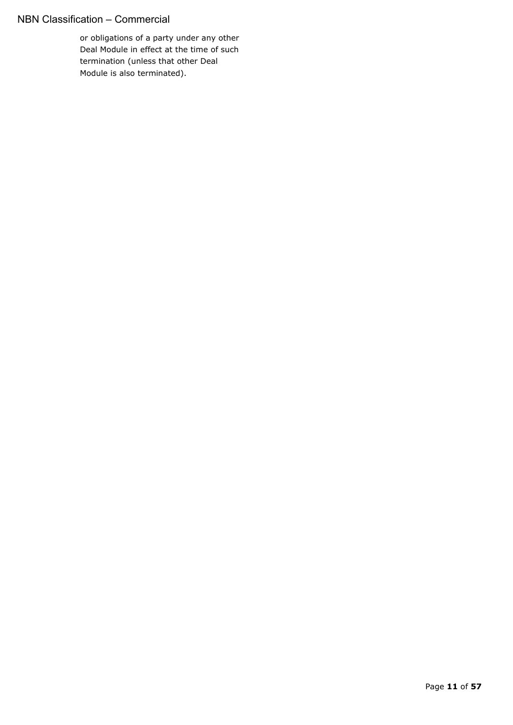or obligations of a party under any other Deal Module in effect at the time of such termination (unless that other Deal Module is also terminated).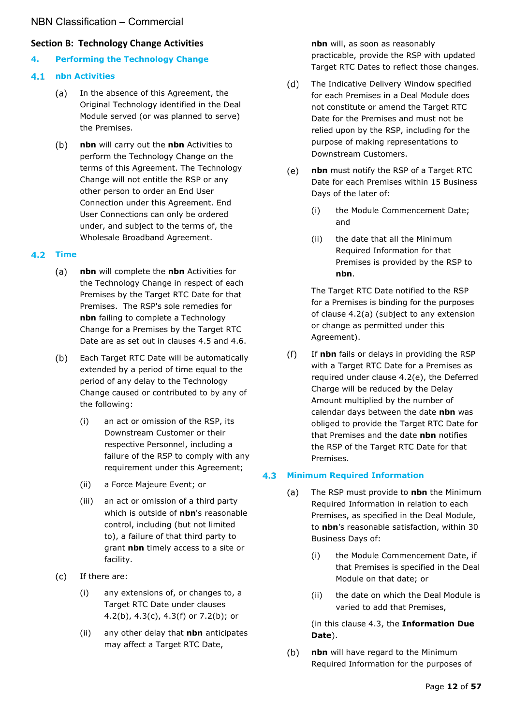### <span id="page-11-0"></span>**Section B: Technology Change Activities**

#### <span id="page-11-1"></span>**4. Performing the Technology Change**

#### <span id="page-11-2"></span> $4.1$ **nbn Activities**

- $(a)$ In the absence of this Agreement, the Original Technology identified in the Deal Module served (or was planned to serve) the Premises.
- $(b)$ **nbn** will carry out the **nbn** Activities to perform the Technology Change on the terms of this Agreement. The Technology Change will not entitle the RSP or any other person to order an End User Connection under this Agreement. End User Connections can only be ordered under, and subject to the terms of, the Wholesale Broadband Agreement.

#### <span id="page-11-6"></span><span id="page-11-3"></span>**4.2 Time**

- $(a)$ **nbn** will complete the **nbn** Activities for the Technology Change in respect of each Premises by the Target RTC Date for that Premises. The RSP's sole remedies for **nbn** failing to complete a Technology Change for a Premises by the Target RTC Date are as set out in clauses [4.5](#page-12-1) and [4.6.](#page-12-2)
- <span id="page-11-5"></span>Each Target RTC Date will be automatically  $(b)$ extended by a period of time equal to the period of any delay to the Technology Change caused or contributed to by any of the following:
	- (i) an act or omission of the RSP, its Downstream Customer or their respective Personnel, including a failure of the RSP to comply with any requirement under this Agreement;
	- (ii) a Force Majeure Event; or
	- (iii) an act or omission of a third party which is outside of **nbn**'s reasonable control, including (but not limited to), a failure of that third party to grant **nbn** timely access to a site or facility.
- $(c)$ If there are:
	- (i) any extensions of, or changes to, a Target RTC Date under clauses [4.2\(b\),](#page-11-5) [4.3\(c\),](#page-12-3) [4.3\(f\)](#page-12-4) or [7.2\(b\);](#page-17-5) or
	- (ii) any other delay that **nbn** anticipates may affect a Target RTC Date,

**nbn** will, as soon as reasonably practicable, provide the RSP with updated Target RTC Dates to reflect those changes.

- $(d)$ The Indicative Delivery Window specified for each Premises in a Deal Module does not constitute or amend the Target RTC Date for the Premises and must not be relied upon by the RSP, including for the purpose of making representations to Downstream Customers.
- <span id="page-11-7"></span> $(e)$ **nbn** must notify the RSP of a Target RTC Date for each Premises within 15 Business Days of the later of:
	- (i) the Module Commencement Date; and
	- (ii) the date that all the Minimum Required Information for that Premises is provided by the RSP to **nbn**.

The Target RTC Date notified to the RSP for a Premises is binding for the purposes of clause [4.2\(a\)](#page-11-6) (subject to any extension or change as permitted under this Agreement).

 $(f)$ If **nbn** fails or delays in providing the RSP with a Target RTC Date for a Premises as required under clause [4.2\(e\),](#page-11-7) the Deferred Charge will be reduced by the Delay Amount multiplied by the number of calendar days between the date **nbn** was obliged to provide the Target RTC Date for that Premises and the date **nbn** notifies the RSP of the Target RTC Date for that Premises.

#### <span id="page-11-4"></span> $4.3$ **Minimum Required Information**

- The RSP must provide to **nbn** the Minimum  $(a)$ Required Information in relation to each Premises, as specified in the Deal Module, to **nbn**'s reasonable satisfaction, within 30 Business Days of:
	- (i) the Module Commencement Date, if that Premises is specified in the Deal Module on that date; or
	- (ii) the date on which the Deal Module is varied to add that Premises,

(in this clause [4.3,](#page-11-4) the **Information Due Date**).

 $(b)$ **nbn** will have regard to the Minimum Required Information for the purposes of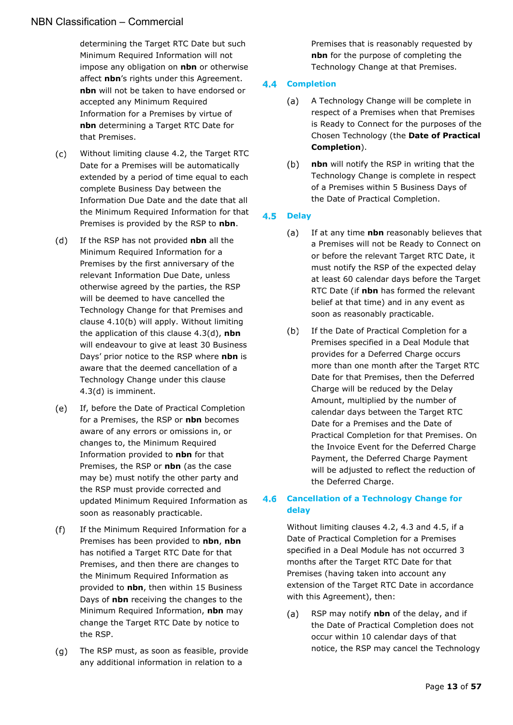determining the Target RTC Date but such Minimum Required Information will not impose any obligation on **nbn** or otherwise affect **nbn**'s rights under this Agreement. **nbn** will not be taken to have endorsed or accepted any Minimum Required Information for a Premises by virtue of **nbn** determining a Target RTC Date for that Premises.

- <span id="page-12-3"></span> $(c)$ Without limiting clause [4.2,](#page-11-3) the Target RTC Date for a Premises will be automatically extended by a period of time equal to each complete Business Day between the Information Due Date and the date that all the Minimum Required Information for that Premises is provided by the RSP to **nbn**.
- <span id="page-12-5"></span> $(d)$ If the RSP has not provided **nbn** all the Minimum Required Information for a Premises by the first anniversary of the relevant Information Due Date, unless otherwise agreed by the parties, the RSP will be deemed to have cancelled the Technology Change for that Premises and clause [4.10\(b\)](#page-15-5) will apply. Without limiting the application of this clause [4.3\(d\),](#page-12-5) **nbn** will endeavour to give at least 30 Business Days' prior notice to the RSP where **nbn** is aware that the deemed cancellation of a Technology Change under this clause [4.3\(d\)](#page-12-5) is imminent.
- $(e)$ If, before the Date of Practical Completion for a Premises, the RSP or **nbn** becomes aware of any errors or omissions in, or changes to, the Minimum Required Information provided to **nbn** for that Premises, the RSP or **nbn** (as the case may be) must notify the other party and the RSP must provide corrected and updated Minimum Required Information as soon as reasonably practicable.
- <span id="page-12-4"></span> $(f)$ If the Minimum Required Information for a Premises has been provided to **nbn**, **nbn**  has notified a Target RTC Date for that Premises, and then there are changes to the Minimum Required Information as provided to **nbn**, then within 15 Business Days of **nbn** receiving the changes to the Minimum Required Information, **nbn** may change the Target RTC Date by notice to the RSP.
- $(q)$ The RSP must, as soon as feasible, provide any additional information in relation to a

Premises that is reasonably requested by **nbn** for the purpose of completing the Technology Change at that Premises.

#### <span id="page-12-8"></span><span id="page-12-0"></span> $4.4$ **Completion**

- $(a)$ A Technology Change will be complete in respect of a Premises when that Premises is Ready to Connect for the purposes of the Chosen Technology (the **Date of Practical Completion**).
- $(b)$ **nbn** will notify the RSP in writing that the Technology Change is complete in respect of a Premises within 5 Business Days of the Date of Practical Completion.

#### <span id="page-12-1"></span>**4.5 Delay**

- $(a)$ If at any time **nbn** reasonably believes that a Premises will not be Ready to Connect on or before the relevant Target RTC Date, it must notify the RSP of the expected delay at least 60 calendar days before the Target RTC Date (if **nbn** has formed the relevant belief at that time) and in any event as soon as reasonably practicable.
- $(b)$ If the Date of Practical Completion for a Premises specified in a Deal Module that provides for a Deferred Charge occurs more than one month after the Target RTC Date for that Premises, then the Deferred Charge will be reduced by the Delay Amount, multiplied by the number of calendar days between the Target RTC Date for a Premises and the Date of Practical Completion for that Premises. On the Invoice Event for the Deferred Charge Payment, the Deferred Charge Payment will be adjusted to reflect the reduction of the Deferred Charge.

#### <span id="page-12-2"></span>**Cancellation of a Technology Change for delay**

Without limiting clauses [4.2,](#page-11-3) [4.3](#page-11-4) and [4.5,](#page-12-1) if a Date of Practical Completion for a Premises specified in a Deal Module has not occurred 3 months after the Target RTC Date for that Premises (having taken into account any extension of the Target RTC Date in accordance with this Agreement), then:

<span id="page-12-7"></span><span id="page-12-6"></span>RSP may notify **nbn** of the delay, and if (a) the Date of Practical Completion does not occur within 10 calendar days of that notice, the RSP may cancel the Technology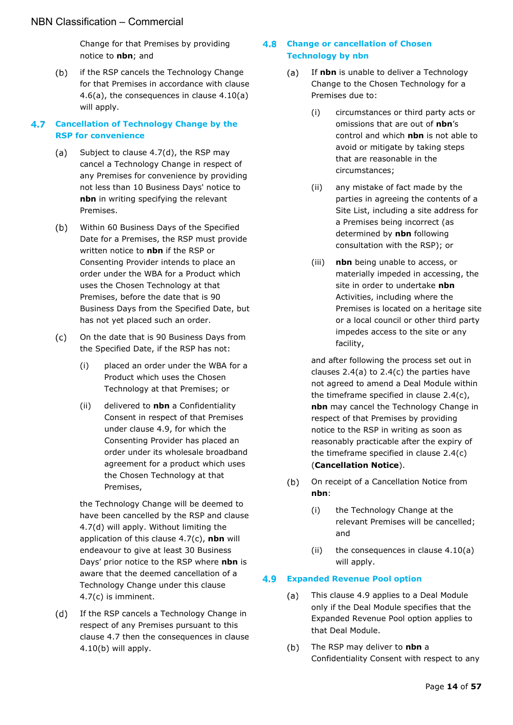Change for that Premises by providing notice to **nbn**; and

 $(b)$ if the RSP cancels the Technology Change for that Premises in accordance with clause [4.6\(a\),](#page-12-6) the consequences in clause [4.10\(a\)](#page-14-1) will apply.

#### <span id="page-13-6"></span><span id="page-13-0"></span>**Cancellation of Technology Change by the RSP for convenience**

- Subject to clause [4.7\(d\),](#page-13-3) the RSP may  $(a)$ cancel a Technology Change in respect of any Premises for convenience by providing not less than 10 Business Days' notice to **nbn** in writing specifying the relevant Premises.
- $(b)$ Within 60 Business Days of the Specified Date for a Premises, the RSP must provide written notice to **nbn** if the RSP or Consenting Provider intends to place an order under the WBA for a Product which uses the Chosen Technology at that Premises, before the date that is 90 Business Days from the Specified Date, but has not yet placed such an order.
- <span id="page-13-4"></span>On the date that is 90 Business Days from  $(c)$ the Specified Date, if the RSP has not:
	- (i) placed an order under the WBA for a Product which uses the Chosen Technology at that Premises; or
	- (ii) delivered to **nbn** a Confidentiality Consent in respect of that Premises under clause [4.9,](#page-13-2) for which the Consenting Provider has placed an order under its wholesale broadband agreement for a product which uses the Chosen Technology at that Premises,

the Technology Change will be deemed to have been cancelled by the RSP and clause [4.7\(d\)](#page-13-3) will apply. Without limiting the application of this clause [4.7\(c\),](#page-13-4) **nbn** will endeavour to give at least 30 Business Days' prior notice to the RSP where **nbn** is aware that the deemed cancellation of a Technology Change under this clause [4.7\(c\)](#page-13-4) is imminent.

<span id="page-13-3"></span> $(d)$ If the RSP cancels a Technology Change in respect of any Premises pursuant to this clause [4.7](#page-13-0) then the consequences in clause [4.10\(b\)](#page-15-5) will apply.

#### <span id="page-13-5"></span><span id="page-13-1"></span>**Change or cancellation of Chosen Technology by nbn**

- If **nbn** is unable to deliver a Technology  $(a)$ Change to the Chosen Technology for a Premises due to:
	- (i) circumstances or third party acts or omissions that are out of **nbn**'s control and which **nbn** is not able to avoid or mitigate by taking steps that are reasonable in the circumstances;
	- (ii) any mistake of fact made by the parties in agreeing the contents of a Site List, including a site address for a Premises being incorrect (as determined by **nbn** following consultation with the RSP); or
	- (iii) **nbn** being unable to access, or materially impeded in accessing, the site in order to undertake **nbn**  Activities, including where the Premises is located on a heritage site or a local council or other third party impedes access to the site or any facility,

and after following the process set out in clauses  $2.4(a)$  to  $2.4(c)$  the parties have not agreed to amend a Deal Module within the timeframe specified in clause [2.4\(c\),](#page-7-4) **nbn** may cancel the Technology Change in respect of that Premises by providing notice to the RSP in writing as soon as reasonably practicable after the expiry of the timeframe specified in clause [2.4\(c\)](#page-7-4) (**Cancellation Notice**).

- $(b)$ On receipt of a Cancellation Notice from **nbn**:
	- (i) the Technology Change at the relevant Premises will be cancelled; and
	- (ii) the consequences in clause  $4.10(a)$ will apply.

#### <span id="page-13-2"></span>**Expanded Revenue Pool option**

- This clause [4.9](#page-13-2) applies to a Deal Module (a) only if the Deal Module specifies that the Expanded Revenue Pool option applies to that Deal Module.
- <span id="page-13-7"></span> $(b)$ The RSP may deliver to **nbn** a Confidentiality Consent with respect to any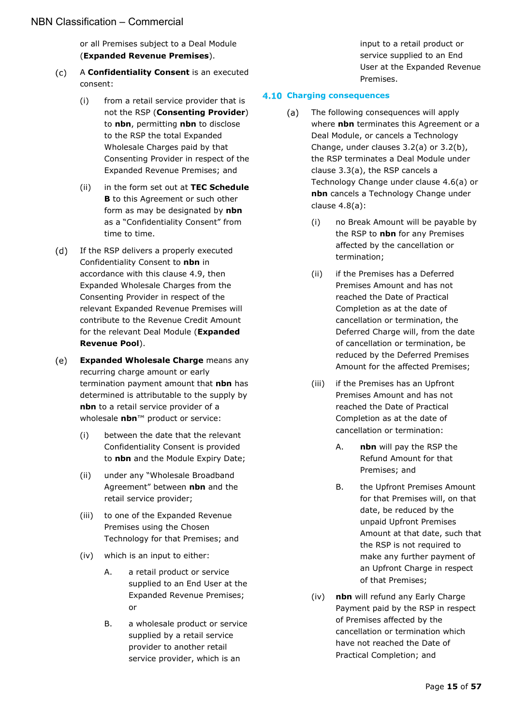or all Premises subject to a Deal Module (**Expanded Revenue Premises**).

- <span id="page-14-5"></span><span id="page-14-4"></span> $(c)$ A **Confidentiality Consent** is an executed consent:
	- (i) from a retail service provider that is not the RSP (**Consenting Provider**) to **nbn**, permitting **nbn** to disclose to the RSP the total Expanded Wholesale Charges paid by that Consenting Provider in respect of the Expanded Revenue Premises; and
	- (ii) in the form set out at **TEC Schedule B** to this Agreement or such other form as may be designated by **nbn** as a "Confidentiality Consent" from time to time.
- <span id="page-14-6"></span> $(d)$ If the RSP delivers a properly executed Confidentiality Consent to **nbn** in accordance with this clause [4.9,](#page-13-2) then Expanded Wholesale Charges from the Consenting Provider in respect of the relevant Expanded Revenue Premises will contribute to the Revenue Credit Amount for the relevant Deal Module (**Expanded Revenue Pool**).
- <span id="page-14-3"></span> $(e)$ **Expanded Wholesale Charge** means any recurring charge amount or early termination payment amount that **nbn** has determined is attributable to the supply by **nbn** to a retail service provider of a wholesale **nbn**™ product or service:
	- (i) between the date that the relevant Confidentiality Consent is provided to **nbn** and the Module Expiry Date;
	- (ii) under any "Wholesale Broadband Agreement" between **nbn** and the retail service provider;
	- (iii) to one of the Expanded Revenue Premises using the Chosen Technology for that Premises; and
	- (iv) which is an input to either:
		- A. a retail product or service supplied to an End User at the Expanded Revenue Premises; or
		- B. a wholesale product or service supplied by a retail service provider to another retail service provider, which is an

input to a retail product or service supplied to an End User at the Expanded Revenue Premises.

#### <span id="page-14-1"></span><span id="page-14-0"></span>**Charging consequences**

- <span id="page-14-2"></span>The following consequences will apply  $(a)$ where **nbn** terminates this Agreement or a Deal Module, or cancels a Technology Change, under clauses [3.2\(a\)](#page-8-7) or [3.2\(b\),](#page-8-8) the RSP terminates a Deal Module under clause [3.3\(a\),](#page-9-6) the RSP cancels a Technology Change under clause [4.6\(a\)](#page-12-7) or **nbn** cancels a Technology Change under clause [4.8\(a\):](#page-13-5)
	- (i) no Break Amount will be payable by the RSP to **nbn** for any Premises affected by the cancellation or termination;
	- (ii) if the Premises has a Deferred Premises Amount and has not reached the Date of Practical Completion as at the date of cancellation or termination, the Deferred Charge will, from the date of cancellation or termination, be reduced by the Deferred Premises Amount for the affected Premises;
	- (iii) if the Premises has an Upfront Premises Amount and has not reached the Date of Practical Completion as at the date of cancellation or termination:
		- A. **nbn** will pay the RSP the Refund Amount for that Premises; and
		- B. the Upfront Premises Amount for that Premises will, on that date, be reduced by the unpaid Upfront Premises Amount at that date, such that the RSP is not required to make any further payment of an Upfront Charge in respect of that Premises;
	- (iv) **nbn** will refund any Early Charge Payment paid by the RSP in respect of Premises affected by the cancellation or termination which have not reached the Date of Practical Completion; and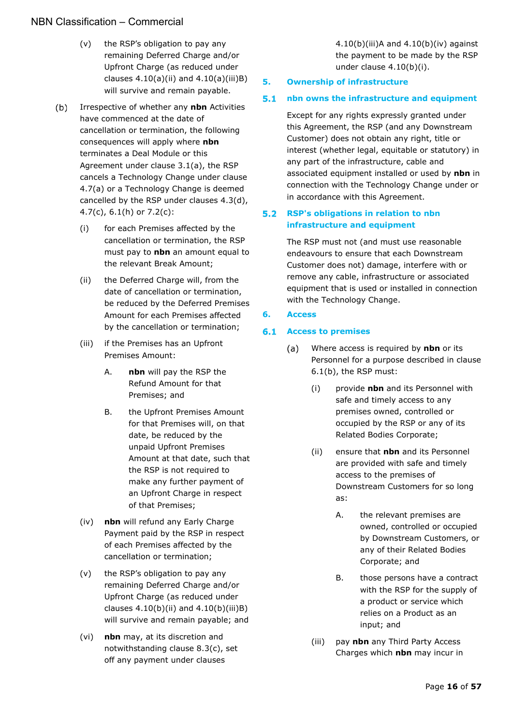- (v) the RSP's obligation to pay any remaining Deferred Charge and/or Upfront Charge (as reduced under clauses  $4.10(a)(ii)$  and  $4.10(a)(iii)B)$ will survive and remain payable.
- <span id="page-15-10"></span><span id="page-15-6"></span><span id="page-15-5"></span> $(b)$ Irrespective of whether any **nbn** Activities have commenced at the date of cancellation or termination, the following consequences will apply where **nbn**  terminates a Deal Module or this Agreement under clause [3.1\(a\),](#page-8-10) the RSP cancels a Technology Change under clause [4.7\(a\)](#page-13-6) or a Technology Change is deemed cancelled by the RSP under clauses [4.3\(d\),](#page-12-5) [4.7\(c\),](#page-13-4) [6.1\(h\)](#page-16-0) or [7.2\(c\):](#page-17-6)
	- (i) for each Premises affected by the cancellation or termination, the RSP must pay to **nbn** an amount equal to the relevant Break Amount;
	- (ii) the Deferred Charge will, from the date of cancellation or termination, be reduced by the Deferred Premises Amount for each Premises affected by the cancellation or termination;
	- (iii) if the Premises has an Upfront Premises Amount:
		- A. **nbn** will pay the RSP the Refund Amount for that Premises; and
		- B. the Upfront Premises Amount for that Premises will, on that date, be reduced by the unpaid Upfront Premises Amount at that date, such that the RSP is not required to make any further payment of an Upfront Charge in respect of that Premises;
	- (iv) **nbn** will refund any Early Charge Payment paid by the RSP in respect of each Premises affected by the cancellation or termination;
	- (v) the RSP's obligation to pay any remaining Deferred Charge and/or Upfront Charge (as reduced under clauses  $4.10(b)(ii)$  and  $4.10(b)(iii)B)$ will survive and remain payable; and
	- (vi) **nbn** may, at its discretion and notwithstanding clause [8.3\(c\),](#page-19-2) set off any payment under clauses

[4.10\(b\)\(iii\)A](#page-15-8) and [4.10\(b\)\(iv\)](#page-15-9) against the payment to be made by the RSP under clause [4.10\(b\)\(i\).](#page-15-10)

### <span id="page-15-0"></span>**5. Ownership of infrastructure**

#### <span id="page-15-1"></span>**nbn owns the infrastructure and equipment**   $5.1$

Except for any rights expressly granted under this Agreement, the RSP (and any Downstream Customer) does not obtain any right, title or interest (whether legal, equitable or statutory) in any part of the infrastructure, cable and associated equipment installed or used by **nbn** in connection with the Technology Change under or in accordance with this Agreement.

#### <span id="page-15-2"></span>**RSP's obligations in relation to nbn infrastructure and equipment**

The RSP must not (and must use reasonable endeavours to ensure that each Downstream Customer does not) damage, interfere with or remove any cable, infrastructure or associated equipment that is used or installed in connection with the Technology Change.

#### <span id="page-15-3"></span>**6. Access**

#### <span id="page-15-11"></span><span id="page-15-9"></span><span id="page-15-8"></span><span id="page-15-7"></span><span id="page-15-4"></span>**Access to premises**

- $(a)$ Where access is required by **nbn** or its Personnel for a purpose described in clause [6.1\(b\),](#page-16-1) the RSP must:
	- (i) provide **nbn** and its Personnel with safe and timely access to any premises owned, controlled or occupied by the RSP or any of its Related Bodies Corporate;
	- (ii) ensure that **nbn** and its Personnel are provided with safe and timely access to the premises of Downstream Customers for so long as:
		- A. the relevant premises are owned, controlled or occupied by Downstream Customers, or any of their Related Bodies Corporate; and
		- B. those persons have a contract with the RSP for the supply of a product or service which relies on a Product as an input; and
	- (iii) pay **nbn** any Third Party Access Charges which **nbn** may incur in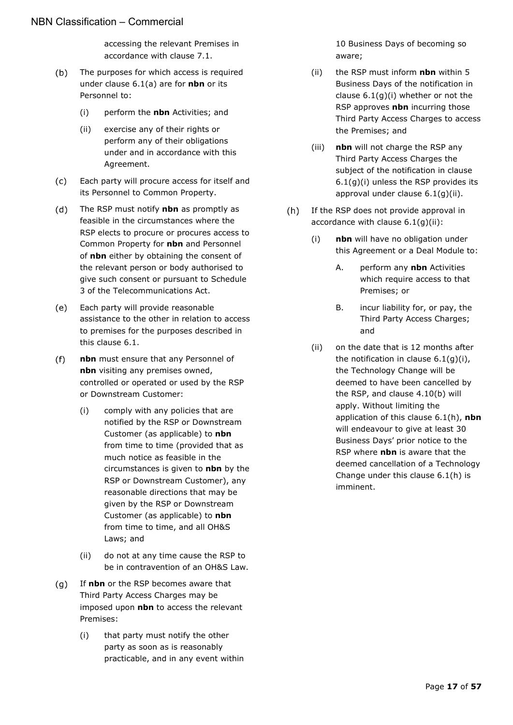accessing the relevant Premises in accordance with clause [7.1.](#page-17-2)

- <span id="page-16-1"></span> $(b)$ The purposes for which access is required under clause [6.1\(a\)](#page-15-11) are for **nbn** or its Personnel to:
	- (i) perform the **nbn** Activities; and
	- (ii) exercise any of their rights or perform any of their obligations under and in accordance with this Agreement.
- $(c)$ Each party will procure access for itself and its Personnel to Common Property.
- $(d)$ The RSP must notify **nbn** as promptly as feasible in the circumstances where the RSP elects to procure or procures access to Common Property for **nbn** and Personnel of **nbn** either by obtaining the consent of the relevant person or body authorised to give such consent or pursuant to Schedule 3 of the Telecommunications Act.
- Each party will provide reasonable  $(e)$ assistance to the other in relation to access to premises for the purposes described in this clause [6.1.](#page-15-4)
- $(f)$ **nbn** must ensure that any Personnel of **nbn** visiting any premises owned, controlled or operated or used by the RSP or Downstream Customer:
	- (i) comply with any policies that are notified by the RSP or Downstream Customer (as applicable) to **nbn** from time to time (provided that as much notice as feasible in the circumstances is given to **nbn** by the RSP or Downstream Customer), any reasonable directions that may be given by the RSP or Downstream Customer (as applicable) to **nbn** from time to time, and all OH&S Laws; and
	- (ii) do not at any time cause the RSP to be in contravention of an OH&S Law.
- <span id="page-16-2"></span>If **nbn** or the RSP becomes aware that  $(q)$ Third Party Access Charges may be imposed upon **nbn** to access the relevant Premises:
	- (i) that party must notify the other party as soon as is reasonably practicable, and in any event within

10 Business Days of becoming so aware;

- <span id="page-16-3"></span>(ii) the RSP must inform **nbn** within 5 Business Days of the notification in clause [6.1\(g\)\(i\)](#page-16-2) whether or not the RSP approves **nbn** incurring those Third Party Access Charges to access the Premises; and
- (iii) **nbn** will not charge the RSP any Third Party Access Charges the subject of the notification in clause [6.1\(g\)\(i\)](#page-16-2) unless the RSP provides its approval under clause [6.1\(g\)\(ii\).](#page-16-3)
- <span id="page-16-0"></span>(h) If the RSP does not provide approval in accordance with clause [6.1\(g\)\(ii\):](#page-16-3)
	- (i) **nbn** will have no obligation under this Agreement or a Deal Module to:
		- A. perform any **nbn** Activities which require access to that Premises; or
		- B. incur liability for, or pay, the Third Party Access Charges; and
	- (ii) on the date that is 12 months after the notification in clause  $6.1(q)(i)$ , the Technology Change will be deemed to have been cancelled by the RSP, and clause [4.10\(b\)](#page-15-5) will apply. Without limiting the application of this clause [6.1\(h\),](#page-16-0) **nbn** will endeavour to give at least 30 Business Days' prior notice to the RSP where **nbn** is aware that the deemed cancellation of a Technology Change under this clause [6.1\(h\)](#page-16-0) is imminent.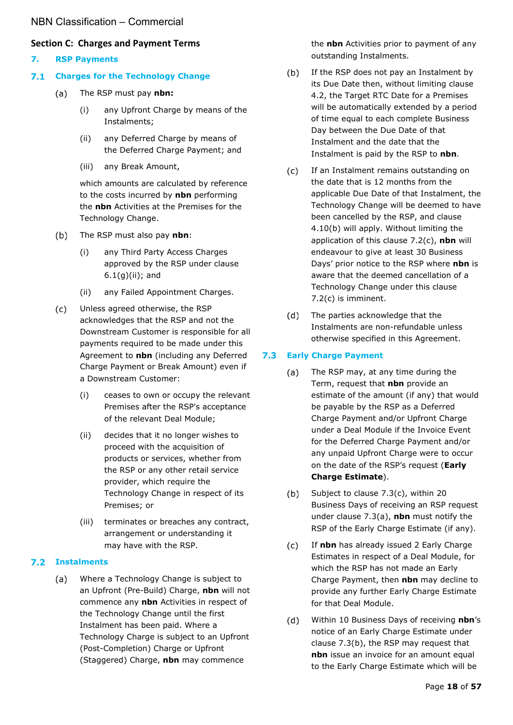#### <span id="page-17-0"></span>**Section C: Charges and Payment Terms**

- <span id="page-17-1"></span>**7. RSP Payments**
- <span id="page-17-2"></span>**Charges for the Technology Change**
	- $(a)$ The RSP must pay **nbn:**
		- (i) any Upfront Charge by means of the Instalments;
		- (ii) any Deferred Charge by means of the Deferred Charge Payment; and
		- (iii) any Break Amount,

which amounts are calculated by reference to the costs incurred by **nbn** performing the **nbn** Activities at the Premises for the Technology Change.

- $(b)$ The RSP must also pay **nbn**:
	- (i) any Third Party Access Charges approved by the RSP under clause [6.1\(g\)\(ii\);](#page-16-3) and
	- (ii) any Failed Appointment Charges.
- $(c)$ Unless agreed otherwise, the RSP acknowledges that the RSP and not the Downstream Customer is responsible for all payments required to be made under this Agreement to **nbn** (including any Deferred Charge Payment or Break Amount) even if a Downstream Customer:
	- (i) ceases to own or occupy the relevant Premises after the RSP's acceptance of the relevant Deal Module;
	- (ii) decides that it no longer wishes to proceed with the acquisition of products or services, whether from the RSP or any other retail service provider, which require the Technology Change in respect of its Premises; or
	- (iii) terminates or breaches any contract, arrangement or understanding it may have with the RSP.

#### <span id="page-17-3"></span>**Instalments**

Where a Technology Change is subject to  $(a)$ an Upfront (Pre-Build) Charge, **nbn** will not commence any **nbn** Activities in respect of the Technology Change until the first Instalment has been paid. Where a Technology Charge is subject to an Upfront (Post-Completion) Charge or Upfront (Staggered) Charge, **nbn** may commence

the **nbn** Activities prior to payment of any outstanding Instalments.

- <span id="page-17-5"></span> $(b)$ If the RSP does not pay an Instalment by its Due Date then, without limiting clause [4.2,](#page-11-3) the Target RTC Date for a Premises will be automatically extended by a period of time equal to each complete Business Day between the Due Date of that Instalment and the date that the Instalment is paid by the RSP to **nbn**.
- <span id="page-17-6"></span> $(c)$ If an Instalment remains outstanding on the date that is 12 months from the applicable Due Date of that Instalment, the Technology Change will be deemed to have been cancelled by the RSP, and clause [4.10\(b\)](#page-15-5) will apply. Without limiting the application of this clause [7.2\(c\),](#page-17-6) **nbn** will endeavour to give at least 30 Business Days' prior notice to the RSP where **nbn** is aware that the deemed cancellation of a Technology Change under this clause [7.2\(c\)](#page-17-6) is imminent.
- $(d)$ The parties acknowledge that the Instalments are non-refundable unless otherwise specified in this Agreement.

#### <span id="page-17-8"></span><span id="page-17-4"></span> $7.3$ **Early Charge Payment**

- $(a)$ The RSP may, at any time during the Term, request that **nbn** provide an estimate of the amount (if any) that would be payable by the RSP as a Deferred Charge Payment and/or Upfront Charge under a Deal Module if the Invoice Event for the Deferred Charge Payment and/or any unpaid Upfront Charge were to occur on the date of the RSP's request (**Early Charge Estimate**).
- <span id="page-17-9"></span> $(b)$ Subject to clause [7.3\(c\),](#page-17-7) within 20 Business Days of receiving an RSP request under clause [7.3\(a\),](#page-17-8) **nbn** must notify the RSP of the Early Charge Estimate (if any).
- <span id="page-17-7"></span> $(c)$ If **nbn** has already issued 2 Early Charge Estimates in respect of a Deal Module, for which the RSP has not made an Early Charge Payment, then **nbn** may decline to provide any further Early Charge Estimate for that Deal Module.
- <span id="page-17-10"></span> $(d)$ Within 10 Business Days of receiving **nbn**'s notice of an Early Charge Estimate under clause [7.3\(b\),](#page-17-9) the RSP may request that **nbn** issue an invoice for an amount equal to the Early Charge Estimate which will be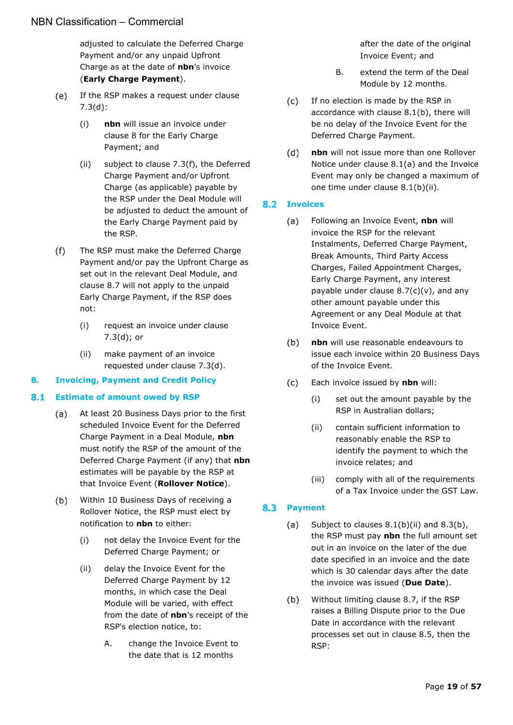adjusted to calculate the Deferred Charge Payment and/or any unpaid Upfront Charge as at the date of **nbn**'s invoice (**Early Charge Payment**).

- $(e)$ If the RSP makes a request under clause [7.3\(d\):](#page-17-10)
	- (i) **nbn** will issue an invoice under clause [8](#page-18-0) for the Early Charge Payment; and
	- (ii) subject to clause [7.3\(f\),](#page-18-4) the Deferred Charge Payment and/or Upfront Charge (as applicable) payable by the RSP under the Deal Module will be adjusted to deduct the amount of the Early Charge Payment paid by the RSP.
- <span id="page-18-4"></span> $(f)$ The RSP must make the Deferred Charge Payment and/or pay the Upfront Charge as set out in the relevant Deal Module, and clause [8.7](#page-20-1) will not apply to the unpaid Early Charge Payment, if the RSP does not:
	- (i) request an invoice under clause [7.3\(d\);](#page-17-10) or
	- (ii) make payment of an invoice requested under clause [7.3\(d\).](#page-17-10)

#### <span id="page-18-0"></span>**8. Invoicing, Payment and Credit Policy**

#### <span id="page-18-6"></span><span id="page-18-1"></span> $8.1$ **Estimate of amount owed by RSP**

- At least 20 Business Days prior to the first  $(a)$ scheduled Invoice Event for the Deferred Charge Payment in a Deal Module, **nbn** must notify the RSP of the amount of the Deferred Charge Payment (if any) that **nbn** estimates will be payable by the RSP at that Invoice Event (**Rollover Notice**).
- <span id="page-18-7"></span><span id="page-18-5"></span> $(b)$ Within 10 Business Days of receiving a Rollover Notice, the RSP must elect by notification to **nbn** to either:
	- (i) not delay the Invoice Event for the Deferred Charge Payment; or
	- (ii) delay the Invoice Event for the Deferred Charge Payment by 12 months, in which case the Deal Module will be varied, with effect from the date of **nbn**'s receipt of the RSP's election notice, to:
		- A. change the Invoice Event to the date that is 12 months

after the date of the original Invoice Event; and

- B. extend the term of the Deal Module by 12 months.
- $(c)$ If no election is made by the RSP in accordance with clause [8.1\(b\),](#page-18-5) there will be no delay of the Invoice Event for the Deferred Charge Payment.
- $(d)$ **nbn** will not issue more than one Rollover Notice under clause [8.1\(a\)](#page-18-6) and the Invoice Event may only be changed a maximum of one time under clause [8.1\(b\)\(ii\).](#page-18-7)

#### <span id="page-18-2"></span>**8.2 Invoices**

- Following an Invoice Event, **nbn** will  $(a)$ invoice the RSP for the relevant Instalments, Deferred Charge Payment, Break Amounts, Third Party Access Charges, Failed Appointment Charges, Early Charge Payment, any interest payable under clause  $8.7(c)(v)$ , and any other amount payable under this Agreement or any Deal Module at that Invoice Event.
- $(b)$ **nbn** will use reasonable endeavours to issue each invoice within 20 Business Days of the Invoice Event.
- <span id="page-18-9"></span> $(c)$ Each invoice issued by **nbn** will:
	- (i) set out the amount payable by the RSP in Australian dollars;
	- (ii) contain sufficient information to reasonably enable the RSP to identify the payment to which the invoice relates; and
	- (iii) comply with all of the requirements of a Tax Invoice under the GST Law.

#### <span id="page-18-10"></span><span id="page-18-3"></span>8.3 Payment

- $(a)$ Subject to clauses [8.1\(b\)\(ii\)](#page-18-7) and [8.3\(b\),](#page-18-8) the RSP must pay **nbn** the full amount set out in an invoice on the later of the due date specified in an invoice and the date which is 30 calendar days after the date the invoice was issued (**Due Date**).
- <span id="page-18-8"></span>Without limiting clause [8.7,](#page-20-1) if the RSP  $(b)$ raises a Billing Dispute prior to the Due Date in accordance with the relevant processes set out in clause [8.5,](#page-19-1) then the RSP: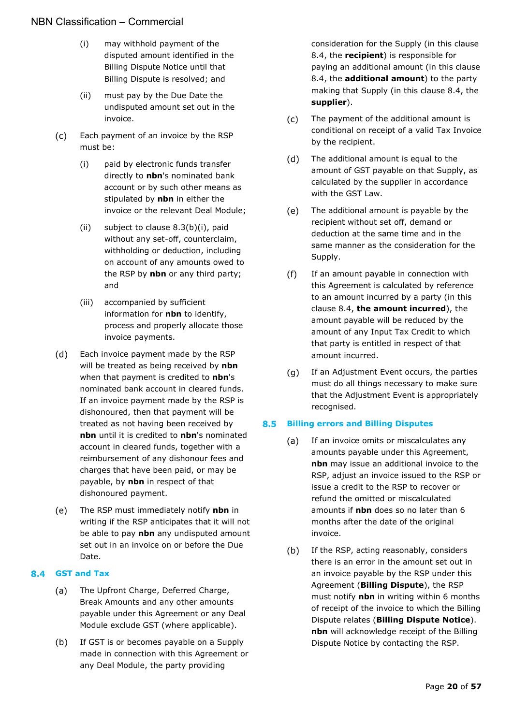- <span id="page-19-3"></span>(i) may withhold payment of the disputed amount identified in the Billing Dispute Notice until that Billing Dispute is resolved; and
- (ii) must pay by the Due Date the undisputed amount set out in the invoice.
- <span id="page-19-2"></span> $(c)$ Each payment of an invoice by the RSP must be:
	- (i) paid by electronic funds transfer directly to **nbn**'s nominated bank account or by such other means as stipulated by **nbn** in either the invoice or the relevant Deal Module;
	- (ii) subject to clause [8.3\(b\)\(i\),](#page-19-3) paid without any set-off, counterclaim, withholding or deduction, including on account of any amounts owed to the RSP by **nbn** or any third party; and
	- (iii) accompanied by sufficient information for **nbn** to identify, process and properly allocate those invoice payments.
- $(d)$ Each invoice payment made by the RSP will be treated as being received by **nbn** when that payment is credited to **nbn**'s nominated bank account in cleared funds. If an invoice payment made by the RSP is dishonoured, then that payment will be treated as not having been received by **nbn** until it is credited to **nbn**'s nominated account in cleared funds, together with a reimbursement of any dishonour fees and charges that have been paid, or may be payable, by **nbn** in respect of that dishonoured payment.
- $(e)$ The RSP must immediately notify **nbn** in writing if the RSP anticipates that it will not be able to pay **nbn** any undisputed amount set out in an invoice on or before the Due Date.

#### <span id="page-19-0"></span>**GST and Tax**

- The Upfront Charge, Deferred Charge,  $(a)$ Break Amounts and any other amounts payable under this Agreement or any Deal Module exclude GST (where applicable).
- $(b)$ If GST is or becomes payable on a Supply made in connection with this Agreement or any Deal Module, the party providing

consideration for the Supply (in this clause [8.4,](#page-19-0) the **recipient**) is responsible for paying an additional amount (in this clause [8.4,](#page-19-0) the **additional amount**) to the party making that Supply (in this clause [8.4,](#page-19-0) the **supplier**).

- $(c)$ The payment of the additional amount is conditional on receipt of a valid Tax Invoice by the recipient.
- $(d)$ The additional amount is equal to the amount of GST payable on that Supply, as calculated by the supplier in accordance with the GST Law.
- $(e)$ The additional amount is payable by the recipient without set off, demand or deduction at the same time and in the same manner as the consideration for the Supply.
- $(f)$ If an amount payable in connection with this Agreement is calculated by reference to an amount incurred by a party (in this clause [8.4,](#page-19-0) **the amount incurred**), the amount payable will be reduced by the amount of any Input Tax Credit to which that party is entitled in respect of that amount incurred.
- $(q)$ If an Adjustment Event occurs, the parties must do all things necessary to make sure that the Adjustment Event is appropriately recognised.

#### <span id="page-19-1"></span>**Billing errors and Billing Disputes**

- $(a)$ If an invoice omits or miscalculates any amounts payable under this Agreement, **nbn** may issue an additional invoice to the RSP, adjust an invoice issued to the RSP or issue a credit to the RSP to recover or refund the omitted or miscalculated amounts if **nbn** does so no later than 6 months after the date of the original invoice.
- <span id="page-19-4"></span> $(b)$ If the RSP, acting reasonably, considers there is an error in the amount set out in an invoice payable by the RSP under this Agreement (**Billing Dispute**), the RSP must notify **nbn** in writing within 6 months of receipt of the invoice to which the Billing Dispute relates (**Billing Dispute Notice**). **nbn** will acknowledge receipt of the Billing Dispute Notice by contacting the RSP.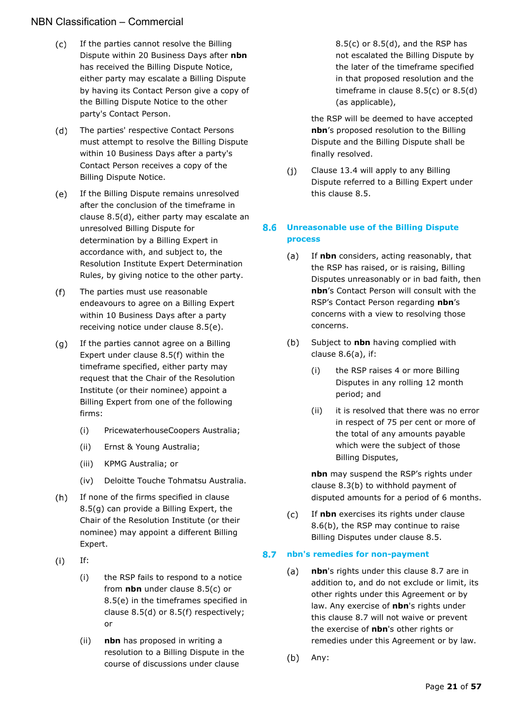- <span id="page-20-6"></span> $(c)$ If the parties cannot resolve the Billing Dispute within 20 Business Days after **nbn** has received the Billing Dispute Notice, either party may escalate a Billing Dispute by having its Contact Person give a copy of the Billing Dispute Notice to the other party's Contact Person.
- <span id="page-20-2"></span> $(d)$ The parties' respective Contact Persons must attempt to resolve the Billing Dispute within 10 Business Days after a party's Contact Person receives a copy of the Billing Dispute Notice.
- <span id="page-20-7"></span> $(e)$ If the Billing Dispute remains unresolved after the conclusion of the timeframe in clause [8.5\(d\),](#page-20-2) either party may escalate an unresolved Billing Dispute for determination by a Billing Expert in accordance with, and subject to, the Resolution Institute Expert Determination Rules, by giving notice to the other party.
- <span id="page-20-4"></span> $(f)$ The parties must use reasonable endeavours to agree on a Billing Expert within 10 Business Days after a party receiving notice under clause [8.5\(e\).](#page-20-3)
- <span id="page-20-5"></span> $(g)$ If the parties cannot agree on a Billing Expert under clause [8.5\(f\)](#page-20-4) within the timeframe specified, either party may request that the Chair of the Resolution Institute (or their nominee) appoint a Billing Expert from one of the following firms:
	- (i) PricewaterhouseCoopers Australia;
	- (ii) Ernst & Young Australia;
	- (iii) KPMG Australia; or
	- (iv) Deloitte Touche Tohmatsu Australia.
- $(h)$ If none of the firms specified in clause [8.5\(g\)](#page-20-5) can provide a Billing Expert, the Chair of the Resolution Institute (or their nominee) may appoint a different Billing Expert.
- $(i)$ If:
	- (i) the RSP fails to respond to a notice from **nbn** under clause [8.5\(c\)](#page-20-6) or [8.5\(e\)](#page-20-7) in the timeframes specified in clause [8.5\(d\)](#page-20-2) or [8.5\(f\)](#page-20-4) respectively; or
	- (ii) **nbn** has proposed in writing a resolution to a Billing Dispute in the course of discussions under clause

 $8.5(c)$  or  $8.5(d)$ , and the RSP has not escalated the Billing Dispute by the later of the timeframe specified in that proposed resolution and the timeframe in clause [8.5\(c\)](#page-20-6) or [8.5\(d\)](#page-20-2) (as applicable),

the RSP will be deemed to have accepted **nbn**'s proposed resolution to the Billing Dispute and the Billing Dispute shall be finally resolved.

 $(i)$ Clause [13.4](#page-27-4) will apply to any Billing Dispute referred to a Billing Expert under this clause [8.5.](#page-19-1)

#### <span id="page-20-3"></span><span id="page-20-0"></span>8.6 **Unreasonable use of the Billing Dispute process**

- <span id="page-20-8"></span> $(a)$ If **nbn** considers, acting reasonably, that the RSP has raised, or is raising, Billing Disputes unreasonably or in bad faith, then **nbn**'s Contact Person will consult with the RSP's Contact Person regarding **nbn**'s concerns with a view to resolving those concerns.
- <span id="page-20-9"></span> $(b)$ Subject to **nbn** having complied with clause [8.6\(a\),](#page-20-8) if:
	- (i) the RSP raises 4 or more Billing Disputes in any rolling 12 month period; and
	- (ii) it is resolved that there was no error in respect of 75 per cent or more of the total of any amounts payable which were the subject of those Billing Disputes,

**nbn** may suspend the RSP's rights under clause [8.3\(b\)](#page-18-8) to withhold payment of disputed amounts for a period of 6 months.

 $(c)$ If **nbn** exercises its rights under clause [8.6\(b\),](#page-20-9) the RSP may continue to raise Billing Disputes under clause [8.5.](#page-19-1)

#### <span id="page-20-1"></span>**nbn's remedies for non-payment**

- **nbn**'s rights under this clause [8.7](#page-20-1) are in  $(a)$ addition to, and do not exclude or limit, its other rights under this Agreement or by law. Any exercise of **nbn**'s rights under this clause [8.7](#page-20-1) will not waive or prevent the exercise of **nbn**'s other rights or remedies under this Agreement or by law.
- $(b)$ Any: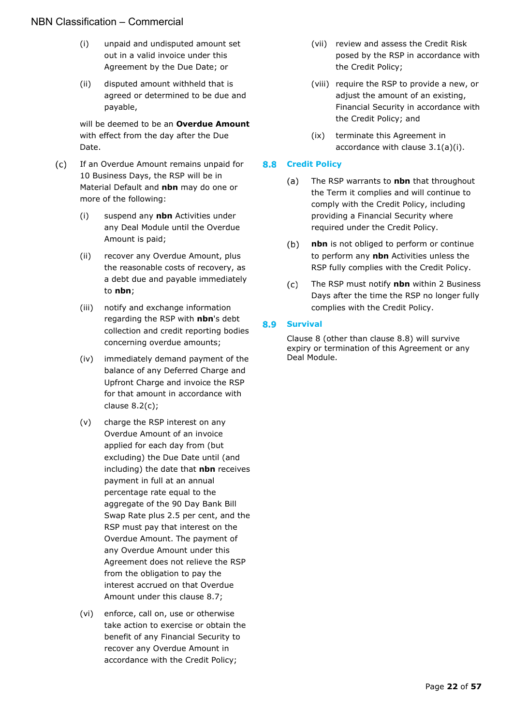- (i) unpaid and undisputed amount set out in a valid invoice under this Agreement by the Due Date; or
- (ii) disputed amount withheld that is agreed or determined to be due and payable,

will be deemed to be an **Overdue Amount** with effect from the day after the Due Date.

- <span id="page-21-3"></span> $(c)$ If an Overdue Amount remains unpaid for 10 Business Days, the RSP will be in Material Default and **nbn** may do one or more of the following:
	- (i) suspend any **nbn** Activities under any Deal Module until the Overdue Amount is paid;
	- (ii) recover any Overdue Amount, plus the reasonable costs of recovery, as a debt due and payable immediately to **nbn**;
	- (iii) notify and exchange information regarding the RSP with **nbn**'s debt collection and credit reporting bodies concerning overdue amounts;
	- (iv) immediately demand payment of the balance of any Deferred Charge and Upfront Charge and invoice the RSP for that amount in accordance with clause [8.2\(c\);](#page-18-9)
	- (v) charge the RSP interest on any Overdue Amount of an invoice applied for each day from (but excluding) the Due Date until (and including) the date that **nbn** receives payment in full at an annual percentage rate equal to the aggregate of the 90 Day Bank Bill Swap Rate plus 2.5 per cent, and the RSP must pay that interest on the Overdue Amount. The payment of any Overdue Amount under this Agreement does not relieve the RSP from the obligation to pay the interest accrued on that Overdue Amount under this clause [8.7;](#page-20-1)
	- (vi) enforce, call on, use or otherwise take action to exercise or obtain the benefit of any Financial Security to recover any Overdue Amount in accordance with the Credit Policy;
- (vii) review and assess the Credit Risk posed by the RSP in accordance with the Credit Policy;
- (viii) require the RSP to provide a new, or adjust the amount of an existing, Financial Security in accordance with the Credit Policy; and
- (ix) terminate this Agreement in accordance with clause [3.1\(a\)\(i\).](#page-8-11)

#### <span id="page-21-0"></span>**8.8 Credit Policy**

- The RSP warrants to **nbn** that throughout (a) the Term it complies and will continue to comply with the Credit Policy, including providing a Financial Security where required under the Credit Policy.
- $(b)$ **nbn** is not obliged to perform or continue to perform any **nbn** Activities unless the RSP fully complies with the Credit Policy.
- $(c)$ The RSP must notify **nbn** within 2 Business Days after the time the RSP no longer fully complies with the Credit Policy.

#### <span id="page-21-2"></span><span id="page-21-1"></span>8.9 **Survival**

Clause [8](#page-18-0) (other than clause [8.8\)](#page-21-0) will survive expiry or termination of this Agreement or any Deal Module.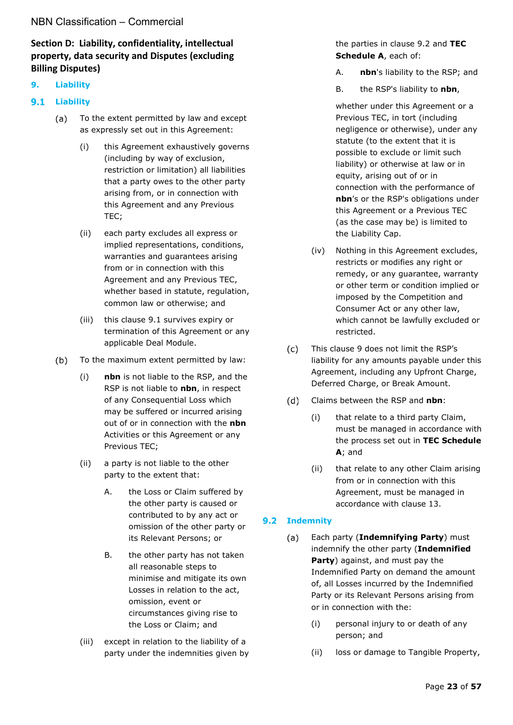## <span id="page-22-0"></span>**Section D: Liability, confidentiality, intellectual property, data security and Disputes (excluding Billing Disputes)**

#### <span id="page-22-1"></span>**9. Liability**

#### <span id="page-22-2"></span>**9.1 Liability**

- $(a)$ To the extent permitted by law and except as expressly set out in this Agreement:
	- (i) this Agreement exhaustively governs (including by way of exclusion, restriction or limitation) all liabilities that a party owes to the other party arising from, or in connection with this Agreement and any Previous TEC;
	- (ii) each party excludes all express or implied representations, conditions, warranties and guarantees arising from or in connection with this Agreement and any Previous TEC, whether based in statute, regulation, common law or otherwise; and
	- (iii) this clause [9.1](#page-22-2) survives expiry or termination of this Agreement or any applicable Deal Module.
- $(b)$ To the maximum extent permitted by law:
	- (i) **nbn** is not liable to the RSP, and the RSP is not liable to **nbn**, in respect of any Consequential Loss which may be suffered or incurred arising out of or in connection with the **nbn** Activities or this Agreement or any Previous TEC;
	- (ii) a party is not liable to the other party to the extent that:
		- A. the Loss or Claim suffered by the other party is caused or contributed to by any act or omission of the other party or its Relevant Persons; or
		- B. the other party has not taken all reasonable steps to minimise and mitigate its own Losses in relation to the act, omission, event or circumstances giving rise to the Loss or Claim; and
	- (iii) except in relation to the liability of a party under the indemnities given by

#### the parties in clause [9.2](#page-22-3) and **TEC Schedule A**, each of:

- A. **nbn**'s liability to the RSP; and
- B. the RSP's liability to **nbn**,

whether under this Agreement or a Previous TEC, in tort (including negligence or otherwise), under any statute (to the extent that it is possible to exclude or limit such liability) or otherwise at law or in equity, arising out of or in connection with the performance of **nbn**'s or the RSP's obligations under this Agreement or a Previous TEC (as the case may be) is limited to the Liability Cap.

- (iv) Nothing in this Agreement excludes, restricts or modifies any right or remedy, or any guarantee, warranty or other term or condition implied or imposed by the Competition and Consumer Act or any other law, which cannot be lawfully excluded or restricted.
- $(c)$ This clause [9](#page-22-1) does not limit the RSP's liability for any amounts payable under this Agreement, including any Upfront Charge, Deferred Charge, or Break Amount.
- $(d)$ Claims between the RSP and **nbn**:
	- (i) that relate to a third party Claim, must be managed in accordance with the process set out in **TEC Schedule A**; and
	- (ii) that relate to any other Claim arising from or in connection with this Agreement, must be managed in accordance with clause [13.](#page-27-0)

#### <span id="page-22-4"></span><span id="page-22-3"></span>**9.2 Indemnity**

- $(a)$ Each party (**Indemnifying Party**) must indemnify the other party (**Indemnified Party**) against, and must pay the Indemnified Party on demand the amount of, all Losses incurred by the Indemnified Party or its Relevant Persons arising from or in connection with the:
	- (i) personal injury to or death of any person; and
	- (ii) loss or damage to Tangible Property,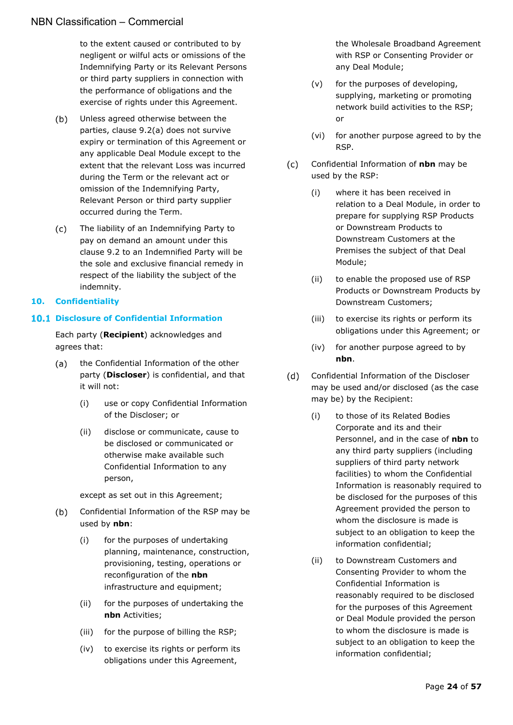to the extent caused or contributed to by negligent or wilful acts or omissions of the Indemnifying Party or its Relevant Persons or third party suppliers in connection with the performance of obligations and the exercise of rights under this Agreement.

- $(b)$ Unless agreed otherwise between the parties, clause [9.2\(a\)](#page-22-4) does not survive expiry or termination of this Agreement or any applicable Deal Module except to the extent that the relevant Loss was incurred during the Term or the relevant act or omission of the Indemnifying Party, Relevant Person or third party supplier occurred during the Term.
- $(c)$ The liability of an Indemnifying Party to pay on demand an amount under this clause [9.2](#page-22-3) to an Indemnified Party will be the sole and exclusive financial remedy in respect of the liability the subject of the indemnity.

#### <span id="page-23-0"></span>**10. Confidentiality**

### <span id="page-23-1"></span>**10.1 Disclosure of Confidential Information**

Each party (**Recipient**) acknowledges and agrees that:

- the Confidential Information of the other  $(a)$ party (**Discloser**) is confidential, and that it will not:
	- (i) use or copy Confidential Information of the Discloser; or
	- (ii) disclose or communicate, cause to be disclosed or communicated or otherwise make available such Confidential Information to any person,

except as set out in this Agreement;

- $(b)$ Confidential Information of the RSP may be used by **nbn**:
	- (i) for the purposes of undertaking planning, maintenance, construction, provisioning, testing, operations or reconfiguration of the **nbn** infrastructure and equipment;
	- (ii) for the purposes of undertaking the **nbn** Activities;
	- (iii) for the purpose of billing the RSP;
	- (iv) to exercise its rights or perform its obligations under this Agreement,

the Wholesale Broadband Agreement with RSP or Consenting Provider or any Deal Module;

- (v) for the purposes of developing, supplying, marketing or promoting network build activities to the RSP; or
- (vi) for another purpose agreed to by the RSP.
- $(c)$ Confidential Information of **nbn** may be used by the RSP:
	- (i) where it has been received in relation to a Deal Module, in order to prepare for supplying RSP Products or Downstream Products to Downstream Customers at the Premises the subject of that Deal Module;
	- (ii) to enable the proposed use of RSP Products or Downstream Products by Downstream Customers;
	- (iii) to exercise its rights or perform its obligations under this Agreement; or
	- (iv) for another purpose agreed to by **nbn**.
- Confidential Information of the Discloser  $(d)$ may be used and/or disclosed (as the case may be) by the Recipient:
	- (i) to those of its Related Bodies Corporate and its and their Personnel, and in the case of **nbn** to any third party suppliers (including suppliers of third party network facilities) to whom the Confidential Information is reasonably required to be disclosed for the purposes of this Agreement provided the person to whom the disclosure is made is subject to an obligation to keep the information confidential;
	- (ii) to Downstream Customers and Consenting Provider to whom the Confidential Information is reasonably required to be disclosed for the purposes of this Agreement or Deal Module provided the person to whom the disclosure is made is subject to an obligation to keep the information confidential;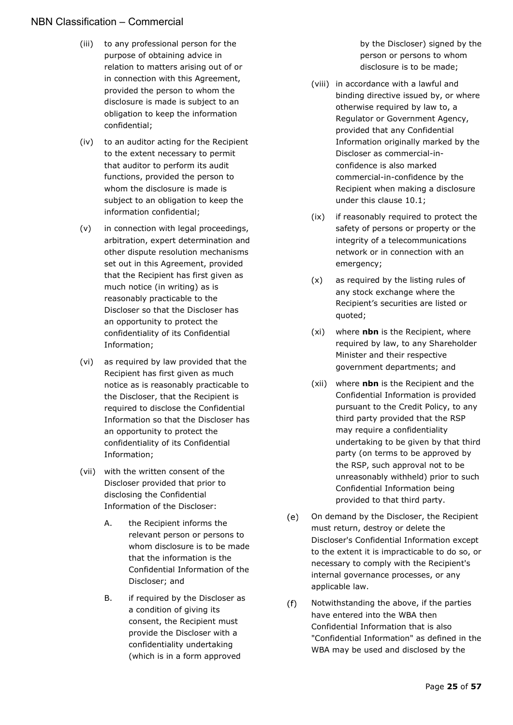- (iii) to any professional person for the purpose of obtaining advice in relation to matters arising out of or in connection with this Agreement, provided the person to whom the disclosure is made is subject to an obligation to keep the information confidential;
- (iv) to an auditor acting for the Recipient to the extent necessary to permit that auditor to perform its audit functions, provided the person to whom the disclosure is made is subject to an obligation to keep the information confidential;
- (v) in connection with legal proceedings, arbitration, expert determination and other dispute resolution mechanisms set out in this Agreement, provided that the Recipient has first given as much notice (in writing) as is reasonably practicable to the Discloser so that the Discloser has an opportunity to protect the confidentiality of its Confidential Information;
- (vi) as required by law provided that the Recipient has first given as much notice as is reasonably practicable to the Discloser, that the Recipient is required to disclose the Confidential Information so that the Discloser has an opportunity to protect the confidentiality of its Confidential Information;
- (vii) with the written consent of the Discloser provided that prior to disclosing the Confidential Information of the Discloser:
	- A. the Recipient informs the relevant person or persons to whom disclosure is to be made that the information is the Confidential Information of the Discloser; and
	- B. if required by the Discloser as a condition of giving its consent, the Recipient must provide the Discloser with a confidentiality undertaking (which is in a form approved

by the Discloser) signed by the person or persons to whom disclosure is to be made;

- (viii) in accordance with a lawful and binding directive issued by, or where otherwise required by law to, a Regulator or Government Agency, provided that any Confidential Information originally marked by the Discloser as commercial-inconfidence is also marked commercial-in-confidence by the Recipient when making a disclosure under this clause [10.1;](#page-23-1)
- (ix) if reasonably required to protect the safety of persons or property or the integrity of a telecommunications network or in connection with an emergency;
- (x) as required by the listing rules of any stock exchange where the Recipient's securities are listed or quoted;
- (xi) where **nbn** is the Recipient, where required by law, to any Shareholder Minister and their respective government departments; and
- (xii) where **nbn** is the Recipient and the Confidential Information is provided pursuant to the Credit Policy, to any third party provided that the RSP may require a confidentiality undertaking to be given by that third party (on terms to be approved by the RSP, such approval not to be unreasonably withheld) prior to such Confidential Information being provided to that third party.
- $(e)$ On demand by the Discloser, the Recipient must return, destroy or delete the Discloser's Confidential Information except to the extent it is impracticable to do so, or necessary to comply with the Recipient's internal governance processes, or any applicable law.
- $(f)$ Notwithstanding the above, if the parties have entered into the WBA then Confidential Information that is also "Confidential Information" as defined in the WBA may be used and disclosed by the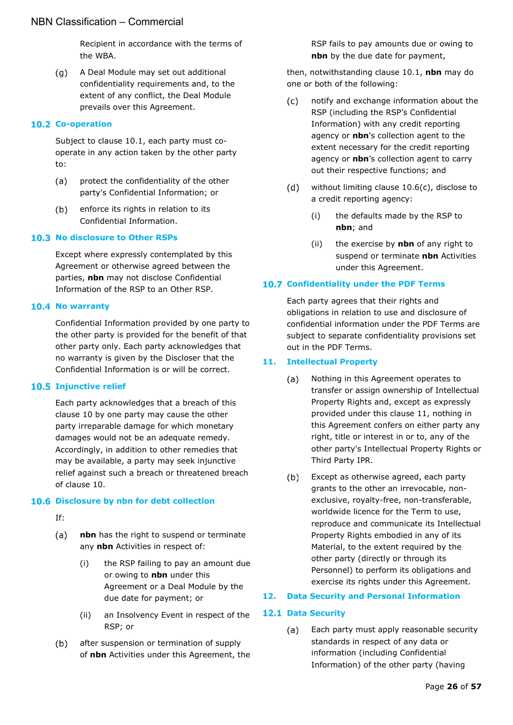Recipient in accordance with the terms of the WBA.

 $(q)$ A Deal Module may set out additional confidentiality requirements and, to the extent of any conflict, the Deal Module prevails over this Agreement.

#### <span id="page-25-0"></span>**10.2 Co-operation**

Subject to clause [10.1,](#page-23-1) each party must cooperate in any action taken by the other party to:

- $(a)$ protect the confidentiality of the other party's Confidential Information; or
- $(b)$ enforce its rights in relation to its Confidential Information.

#### <span id="page-25-1"></span>**10.3 No disclosure to Other RSPs**

Except where expressly contemplated by this Agreement or otherwise agreed between the parties, **nbn** may not disclose Confidential Information of the RSP to an Other RSP.

#### <span id="page-25-2"></span>**10.4 No warranty**

Confidential Information provided by one party to the other party is provided for the benefit of that other party only. Each party acknowledges that no warranty is given by the Discloser that the Confidential Information is or will be correct.

#### <span id="page-25-3"></span>**10.5 Injunctive relief**

Each party acknowledges that a breach of this clause [10](#page-23-0) by one party may cause the other party irreparable damage for which monetary damages would not be an adequate remedy. Accordingly, in addition to other remedies that may be available, a party may seek injunctive relief against such a breach or threatened breach of clause [10.](#page-23-0)

#### <span id="page-25-4"></span>**10.6 Disclosure by nbn for debt collection**

- If:
- $(a)$ **nbn** has the right to suspend or terminate any **nbn** Activities in respect of:
	- (i) the RSP failing to pay an amount due or owing to **nbn** under this Agreement or a Deal Module by the due date for payment; or
	- (ii) an Insolvency Event in respect of the RSP; or
- $(b)$ after suspension or termination of supply of **nbn** Activities under this Agreement, the

RSP fails to pay amounts due or owing to **nbn** by the due date for payment,

then, notwithstanding clause [10.1,](#page-23-1) **nbn** may do one or both of the following:

- <span id="page-25-9"></span> $(c)$ notify and exchange information about the RSP (including the RSP's Confidential Information) with any credit reporting agency or **nbn**'s collection agent to the extent necessary for the credit reporting agency or **nbn**'s collection agent to carry out their respective functions; and
- $(d)$ without limiting clause [10.6\(c\),](#page-25-9) disclose to a credit reporting agency:
	- (i) the defaults made by the RSP to **nbn**; and
	- (ii) the exercise by **nbn** of any right to suspend or terminate **nbn** Activities under this Agreement.

#### <span id="page-25-5"></span>**10.7 Confidentiality under the PDF Terms**

Each party agrees that their rights and obligations in relation to use and disclosure of confidential information under the PDF Terms are subject to separate confidentiality provisions set out in the PDF Terms.

#### <span id="page-25-6"></span>**11. Intellectual Property**

- $(a)$ Nothing in this Agreement operates to transfer or assign ownership of Intellectual Property Rights and, except as expressly provided under this clause [11,](#page-25-6) nothing in this Agreement confers on either party any right, title or interest in or to, any of the other party's Intellectual Property Rights or Third Party IPR.
- $(b)$ Except as otherwise agreed, each party grants to the other an irrevocable, nonexclusive, royalty-free, non-transferable, worldwide licence for the Term to use, reproduce and communicate its Intellectual Property Rights embodied in any of its Material, to the extent required by the other party (directly or through its Personnel) to perform its obligations and exercise its rights under this Agreement.

#### <span id="page-25-7"></span>**12. Data Security and Personal Information**

#### <span id="page-25-10"></span><span id="page-25-8"></span>**12.1 Data Security**

 $(a)$ Each party must apply reasonable security standards in respect of any data or information (including Confidential Information) of the other party (having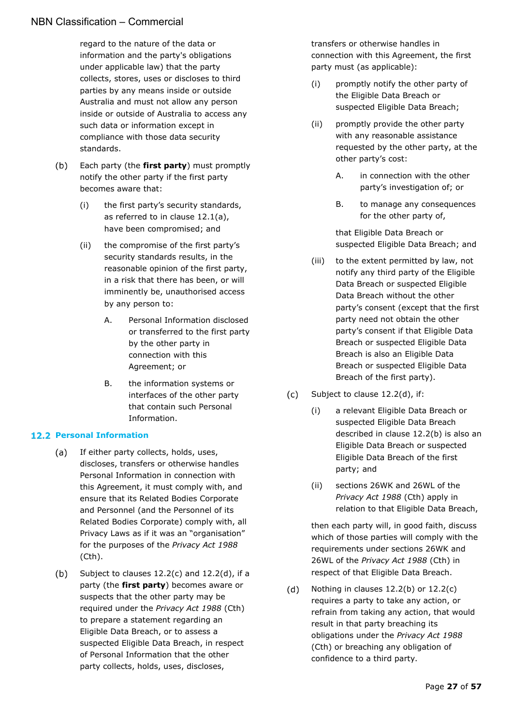regard to the nature of the data or information and the party's obligations under applicable law) that the party collects, stores, uses or discloses to third parties by any means inside or outside Australia and must not allow any person inside or outside of Australia to access any such data or information except in compliance with those data security standards.

- $(b)$ Each party (the **first party**) must promptly notify the other party if the first party becomes aware that:
	- (i) the first party's security standards, as referred to in clause [12.1\(a\),](#page-25-10) have been compromised; and
	- (ii) the compromise of the first party's security standards results, in the reasonable opinion of the first party, in a risk that there has been, or will imminently be, unauthorised access by any person to:
		- A. Personal Information disclosed or transferred to the first party by the other party in connection with this Agreement; or
		- B. the information systems or interfaces of the other party that contain such Personal Information.

#### <span id="page-26-0"></span>**12.2 Personal Information**

- $(a)$ If either party collects, holds, uses, discloses, transfers or otherwise handles Personal Information in connection with this Agreement, it must comply with, and ensure that its Related Bodies Corporate and Personnel (and the Personnel of its Related Bodies Corporate) comply with, all Privacy Laws as if it was an "organisation" for the purposes of the *Privacy Act 1988* (Cth).
- <span id="page-26-3"></span> $(b)$ Subject to clauses [12.2\(c\)](#page-26-1) and [12.2\(d\),](#page-26-2) if a party (the **first party**) becomes aware or suspects that the other party may be required under the *Privacy Act 1988* (Cth) to prepare a statement regarding an Eligible Data Breach, or to assess a suspected Eligible Data Breach, in respect of Personal Information that the other party collects, holds, uses, discloses,

transfers or otherwise handles in connection with this Agreement, the first party must (as applicable):

- (i) promptly notify the other party of the Eligible Data Breach or suspected Eligible Data Breach;
- (ii) promptly provide the other party with any reasonable assistance requested by the other party, at the other party's cost:
	- A. in connection with the other party's investigation of; or
	- B. to manage any consequences for the other party of,

that Eligible Data Breach or suspected Eligible Data Breach; and

- (iii) to the extent permitted by law, not notify any third party of the Eligible Data Breach or suspected Eligible Data Breach without the other party's consent (except that the first party need not obtain the other party's consent if that Eligible Data Breach or suspected Eligible Data Breach is also an Eligible Data Breach or suspected Eligible Data Breach of the first party).
- <span id="page-26-1"></span> $(c)$ Subject to clause [12.2\(d\),](#page-26-2) if:
	- (i) a relevant Eligible Data Breach or suspected Eligible Data Breach described in clause [12.2\(b\)](#page-26-3) is also an Eligible Data Breach or suspected Eligible Data Breach of the first party; and
	- (ii) sections 26WK and 26WL of the *Privacy Act 1988* (Cth) apply in relation to that Eligible Data Breach,

then each party will, in good faith, discuss which of those parties will comply with the requirements under sections 26WK and 26WL of the *Privacy Act 1988* (Cth) in respect of that Eligible Data Breach.

<span id="page-26-2"></span> $(d)$ Nothing in clauses [12.2\(b\)](#page-26-3) or [12.2\(c\)](#page-26-1) requires a party to take any action, or refrain from taking any action, that would result in that party breaching its obligations under the *Privacy Act 1988* (Cth) or breaching any obligation of confidence to a third party.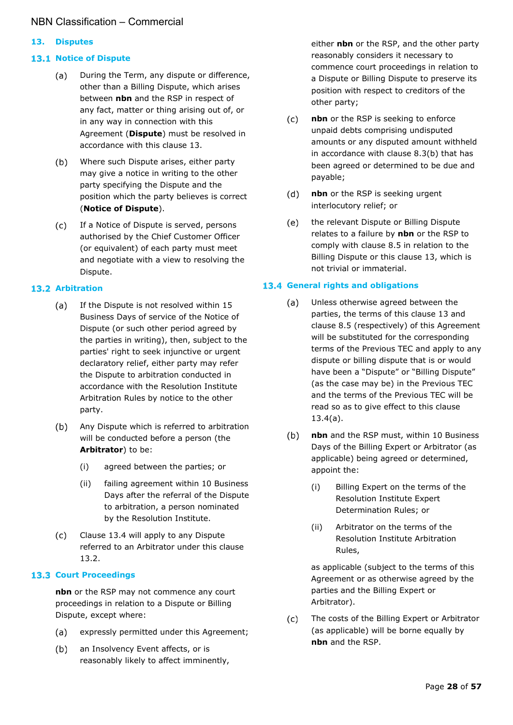#### <span id="page-27-0"></span>**13. Disputes**

#### <span id="page-27-8"></span><span id="page-27-1"></span>**13.1 Notice of Dispute**

- During the Term, any dispute or difference,  $(a)$ other than a Billing Dispute, which arises between **nbn** and the RSP in respect of any fact, matter or thing arising out of, or in any way in connection with this Agreement (**Dispute**) must be resolved in accordance with this clause [13.](#page-27-0)
- <span id="page-27-6"></span> $(b)$ Where such Dispute arises, either party may give a notice in writing to the other party specifying the Dispute and the position which the party believes is correct (**Notice of Dispute**).
- $(c)$ If a Notice of Dispute is served, persons authorised by the Chief Customer Officer (or equivalent) of each party must meet and negotiate with a view to resolving the Dispute.

#### <span id="page-27-2"></span>**13.2 Arbitration**

- $(a)$ If the Dispute is not resolved within 15 Business Days of service of the Notice of Dispute (or such other period agreed by the parties in writing), then, subject to the parties' right to seek injunctive or urgent declaratory relief, either party may refer the Dispute to arbitration conducted in accordance with the Resolution Institute Arbitration Rules by notice to the other party.
- <span id="page-27-7"></span>Any Dispute which is referred to arbitration  $(b)$ will be conducted before a person (the **Arbitrator**) to be:
	- (i) agreed between the parties; or
	- (ii) failing agreement within 10 Business Days after the referral of the Dispute to arbitration, a person nominated by the Resolution Institute.
- Clause [13.4](#page-27-4) will apply to any Dispute  $(c)$ referred to an Arbitrator under this clause [13.2.](#page-27-2)

#### <span id="page-27-3"></span>**13.3 Court Proceedings**

**nbn** or the RSP may not commence any court proceedings in relation to a Dispute or Billing Dispute, except where:

- expressly permitted under this Agreement;  $(a)$
- an Insolvency Event affects, or is  $(b)$ reasonably likely to affect imminently,

either **nbn** or the RSP, and the other party reasonably considers it necessary to commence court proceedings in relation to a Dispute or Billing Dispute to preserve its position with respect to creditors of the other party;

- $(c)$ **nbn** or the RSP is seeking to enforce unpaid debts comprising undisputed amounts or any disputed amount withheld in accordance with clause [8.3\(b\)](#page-18-8) that has been agreed or determined to be due and payable;
- $(d)$ **nbn** or the RSP is seeking urgent interlocutory relief; or
- the relevant Dispute or Billing Dispute  $(e)$ relates to a failure by **nbn** or the RSP to comply with clause [8.5](#page-19-1) in relation to the Billing Dispute or this clause [13,](#page-27-0) which is not trivial or immaterial.

#### <span id="page-27-5"></span><span id="page-27-4"></span>**13.4 General rights and obligations**

- $(a)$ Unless otherwise agreed between the parties, the terms of this clause [13](#page-27-0) and clause [8.5](#page-19-1) (respectively) of this Agreement will be substituted for the corresponding terms of the Previous TEC and apply to any dispute or billing dispute that is or would have been a "Dispute" or "Billing Dispute" (as the case may be) in the Previous TEC and the terms of the Previous TEC will be read so as to give effect to this clause [13.4\(a\).](#page-27-5)
- **nbn** and the RSP must, within 10 Business  $(b)$ Days of the Billing Expert or Arbitrator (as applicable) being agreed or determined, appoint the:
	- (i) Billing Expert on the terms of the Resolution Institute Expert Determination Rules; or
	- (ii) Arbitrator on the terms of the Resolution Institute Arbitration Rules,

as applicable (subject to the terms of this Agreement or as otherwise agreed by the parties and the Billing Expert or Arbitrator).

The costs of the Billing Expert or Arbitrator  $(c)$ (as applicable) will be borne equally by **nbn** and the RSP.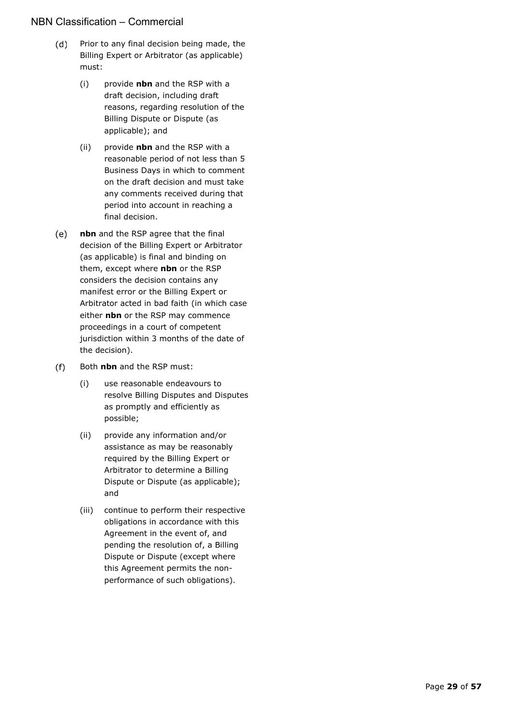- $(d)$ Prior to any final decision being made, the Billing Expert or Arbitrator (as applicable) must:
	- (i) provide **nbn** and the RSP with a draft decision, including draft reasons, regarding resolution of the Billing Dispute or Dispute (as applicable); and
	- (ii) provide **nbn** and the RSP with a reasonable period of not less than 5 Business Days in which to comment on the draft decision and must take any comments received during that period into account in reaching a final decision.
- **nbn** and the RSP agree that the final  $(e)$ decision of the Billing Expert or Arbitrator (as applicable) is final and binding on them, except where **nbn** or the RSP considers the decision contains any manifest error or the Billing Expert or Arbitrator acted in bad faith (in which case either **nbn** or the RSP may commence proceedings in a court of competent jurisdiction within 3 months of the date of the decision).
- $(f)$ Both **nbn** and the RSP must:
	- (i) use reasonable endeavours to resolve Billing Disputes and Disputes as promptly and efficiently as possible;
	- (ii) provide any information and/or assistance as may be reasonably required by the Billing Expert or Arbitrator to determine a Billing Dispute or Dispute (as applicable); and
	- (iii) continue to perform their respective obligations in accordance with this Agreement in the event of, and pending the resolution of, a Billing Dispute or Dispute (except where this Agreement permits the nonperformance of such obligations).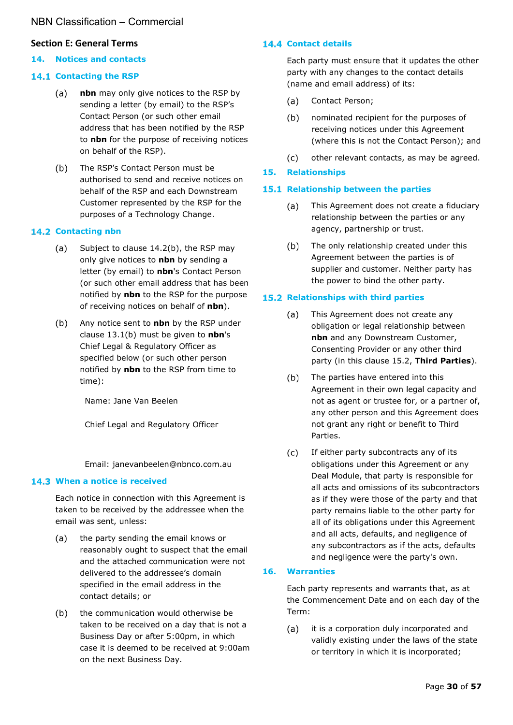#### <span id="page-29-0"></span>**Section E: General Terms**

#### <span id="page-29-1"></span>**14. Notices and contacts**

#### <span id="page-29-2"></span>**14.1 Contacting the RSP**

- $(a)$ **nbn** may only give notices to the RSP by sending a letter (by email) to the RSP's Contact Person (or such other email address that has been notified by the RSP to **nbn** for the purpose of receiving notices on behalf of the RSP).
- $(b)$ The RSP's Contact Person must be authorised to send and receive notices on behalf of the RSP and each Downstream Customer represented by the RSP for the purposes of a Technology Change.

#### <span id="page-29-3"></span>14.2 Contacting nbn

- $(a)$ Subject to clause [14.2\(b\),](#page-29-10) the RSP may only give notices to **nbn** by sending a letter (by email) to **nbn**'s Contact Person (or such other email address that has been notified by **nbn** to the RSP for the purpose of receiving notices on behalf of **nbn**).
- <span id="page-29-10"></span> $(b)$ Any notice sent to **nbn** by the RSP under clause [13.1\(b\)](#page-27-6) must be given to **nbn**'s Chief Legal & Regulatory Officer as specified below (or such other person notified by **nbn** to the RSP from time to time):

Name: Jane Van Beelen

Chief Legal and Regulatory Officer

Email: janevanbeelen@nbnco.com.au

#### <span id="page-29-4"></span>**When a notice is received**

Each notice in connection with this Agreement is taken to be received by the addressee when the email was sent, unless:

- the party sending the email knows or  $(a)$ reasonably ought to suspect that the email and the attached communication were not delivered to the addressee's domain specified in the email address in the contact details; or
- the communication would otherwise be  $(b)$ taken to be received on a day that is not a Business Day or after 5:00pm, in which case it is deemed to be received at 9:00am on the next Business Day.

#### <span id="page-29-5"></span>14.4 Contact details

Each party must ensure that it updates the other party with any changes to the contact details (name and email address) of its:

- $(a)$ Contact Person;
- nominated recipient for the purposes of  $(b)$ receiving notices under this Agreement (where this is not the Contact Person); and
- $(c)$ other relevant contacts, as may be agreed.

#### <span id="page-29-6"></span>**15. Relationships**

#### <span id="page-29-7"></span>**15.1 Relationship between the parties**

- This Agreement does not create a fiduciary (a) relationship between the parties or any agency, partnership or trust.
- $(b)$ The only relationship created under this Agreement between the parties is of supplier and customer. Neither party has the power to bind the other party.

#### <span id="page-29-8"></span>**15.2 Relationships with third parties**

- $(a)$ This Agreement does not create any obligation or legal relationship between **nbn** and any Downstream Customer, Consenting Provider or any other third party (in this clause [15.2,](#page-29-8) **Third Parties**).
- The parties have entered into this  $(b)$ Agreement in their own legal capacity and not as agent or trustee for, or a partner of, any other person and this Agreement does not grant any right or benefit to Third Parties.
- $(c)$ If either party subcontracts any of its obligations under this Agreement or any Deal Module, that party is responsible for all acts and omissions of its subcontractors as if they were those of the party and that party remains liable to the other party for all of its obligations under this Agreement and all acts, defaults, and negligence of any subcontractors as if the acts, defaults and negligence were the party's own.

#### <span id="page-29-9"></span>**16. Warranties**

Each party represents and warrants that, as at the Commencement Date and on each day of the Term:

it is a corporation duly incorporated and  $(a)$ validly existing under the laws of the state or territory in which it is incorporated;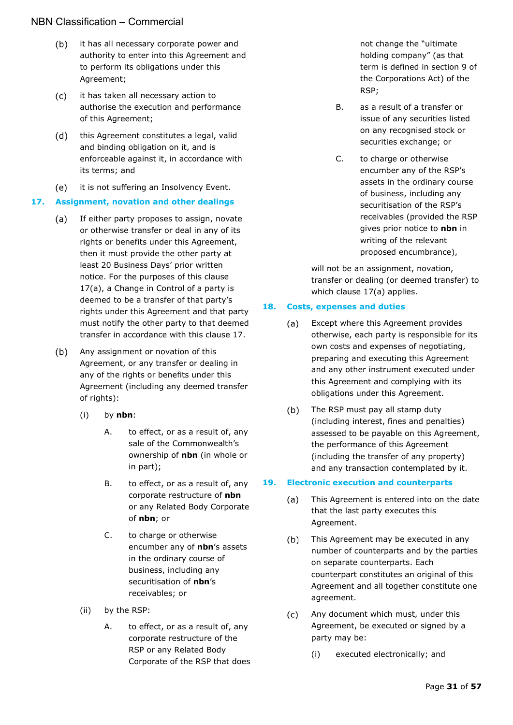- $(b)$ it has all necessary corporate power and authority to enter into this Agreement and to perform its obligations under this Agreement;
- $(c)$ it has taken all necessary action to authorise the execution and performance of this Agreement;
- $(d)$ this Agreement constitutes a legal, valid and binding obligation on it, and is enforceable against it, in accordance with its terms; and
- $(e)$ it is not suffering an Insolvency Event.

#### <span id="page-30-3"></span><span id="page-30-0"></span>**17. Assignment, novation and other dealings**

- If either party proposes to assign, novate  $(a)$ or otherwise transfer or deal in any of its rights or benefits under this Agreement, then it must provide the other party at least 20 Business Days' prior written notice. For the purposes of this clause [17\(a\),](#page-30-3) a Change in Control of a party is deemed to be a transfer of that party's rights under this Agreement and that party must notify the other party to that deemed transfer in accordance with this clause [17.](#page-30-0)
- $(b)$ Any assignment or novation of this Agreement, or any transfer or dealing in any of the rights or benefits under this Agreement (including any deemed transfer of rights):
	- (i) by **nbn**:
		- A. to effect, or as a result of, any sale of the Commonwealth's ownership of **nbn** (in whole or in part);
		- B. to effect, or as a result of, any corporate restructure of **nbn** or any Related Body Corporate of **nbn**; or
		- C. to charge or otherwise encumber any of **nbn**'s assets in the ordinary course of business, including any securitisation of **nbn**'s receivables; or
	- (ii) by the RSP:
		- A. to effect, or as a result of, any corporate restructure of the RSP or any Related Body Corporate of the RSP that does

not change the "ultimate holding company" (as that term is defined in section 9 of the Corporations Act) of the RSP;

- B. as a result of a transfer or issue of any securities listed on any recognised stock or securities exchange; or
- C. to charge or otherwise encumber any of the RSP's assets in the ordinary course of business, including any securitisation of the RSP's receivables (provided the RSP gives prior notice to **nbn** in writing of the relevant proposed encumbrance),

will not be an assignment, novation, transfer or dealing (or deemed transfer) to which clause [17\(a\)](#page-30-3) applies.

#### <span id="page-30-1"></span>**18. Costs, expenses and duties**

- $(a)$ Except where this Agreement provides otherwise, each party is responsible for its own costs and expenses of negotiating, preparing and executing this Agreement and any other instrument executed under this Agreement and complying with its obligations under this Agreement.
- $(b)$ The RSP must pay all stamp duty (including interest, fines and penalties) assessed to be payable on this Agreement, the performance of this Agreement (including the transfer of any property) and any transaction contemplated by it.

#### <span id="page-30-2"></span>**19. Electronic execution and counterparts**

- This Agreement is entered into on the date (a) that the last party executes this Agreement.
- $(b)$ This Agreement may be executed in any number of counterparts and by the parties on separate counterparts. Each counterpart constitutes an original of this Agreement and all together constitute one agreement.
- $(c)$ Any document which must, under this Agreement, be executed or signed by a party may be:
	- (i) executed electronically; and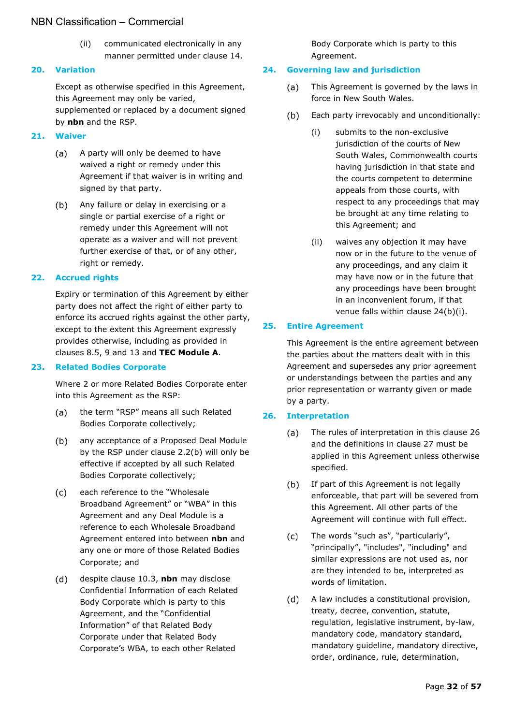(ii) communicated electronically in any manner permitted under clause [14.](#page-29-1)

#### <span id="page-31-0"></span>**20. Variation**

Except as otherwise specified in this Agreement, this Agreement may only be varied, supplemented or replaced by a document signed by **nbn** and the RSP.

#### <span id="page-31-1"></span>**21. Waiver**

- $(a)$ A party will only be deemed to have waived a right or remedy under this Agreement if that waiver is in writing and signed by that party.
- Any failure or delay in exercising or a  $(b)$ single or partial exercise of a right or remedy under this Agreement will not operate as a waiver and will not prevent further exercise of that, or of any other, right or remedy.

#### <span id="page-31-2"></span>**22. Accrued rights**

Expiry or termination of this Agreement by either party does not affect the right of either party to enforce its accrued rights against the other party, except to the extent this Agreement expressly provides otherwise, including as provided in clauses [8.5,](#page-19-1) [9](#page-22-1) and [13](#page-27-0) and **TEC Module A**.

#### <span id="page-31-3"></span>**23. Related Bodies Corporate**

Where 2 or more Related Bodies Corporate enter into this Agreement as the RSP:

- the term "RSP" means all such Related  $(a)$ Bodies Corporate collectively;
- $(b)$ any acceptance of a Proposed Deal Module by the RSP under clause [2.2\(b\)](#page-6-9) will only be effective if accepted by all such Related Bodies Corporate collectively;
- $(c)$ each reference to the "Wholesale Broadband Agreement" or "WBA" in this Agreement and any Deal Module is a reference to each Wholesale Broadband Agreement entered into between **nbn** and any one or more of those Related Bodies Corporate; and
- despite clause [10.3,](#page-25-1) **nbn** may disclose  $(d)$ Confidential Information of each Related Body Corporate which is party to this Agreement, and the "Confidential Information" of that Related Body Corporate under that Related Body Corporate's WBA, to each other Related

Body Corporate which is party to this Agreement.

#### <span id="page-31-4"></span>**24. Governing law and jurisdiction**

- $(a)$ This Agreement is governed by the laws in force in New South Wales.
- <span id="page-31-7"></span> $(b)$ Each party irrevocably and unconditionally:
	- (i) submits to the non-exclusive jurisdiction of the courts of New South Wales, Commonwealth courts having jurisdiction in that state and the courts competent to determine appeals from those courts, with respect to any proceedings that may be brought at any time relating to this Agreement; and
	- (ii) waives any objection it may have now or in the future to the venue of any proceedings, and any claim it may have now or in the future that any proceedings have been brought in an inconvenient forum, if that venue falls within clause [24\(b\)\(i\).](#page-31-7)

#### <span id="page-31-5"></span>**25. Entire Agreement**

This Agreement is the entire agreement between the parties about the matters dealt with in this Agreement and supersedes any prior agreement or understandings between the parties and any prior representation or warranty given or made by a party.

#### <span id="page-31-6"></span>**26. Interpretation**

- $(a)$ The rules of interpretation in this clause [26](#page-31-6) and the definitions in clause [27](#page-32-0) must be applied in this Agreement unless otherwise specified.
- $(b)$ If part of this Agreement is not legally enforceable, that part will be severed from this Agreement. All other parts of the Agreement will continue with full effect.
- $(c)$ The words "such as", "particularly", "principally", "includes", "including" and similar expressions are not used as, nor are they intended to be, interpreted as words of limitation.
- $(d)$ A law includes a constitutional provision, treaty, decree, convention, statute, regulation, legislative instrument, by-law, mandatory code, mandatory standard, mandatory guideline, mandatory directive, order, ordinance, rule, determination,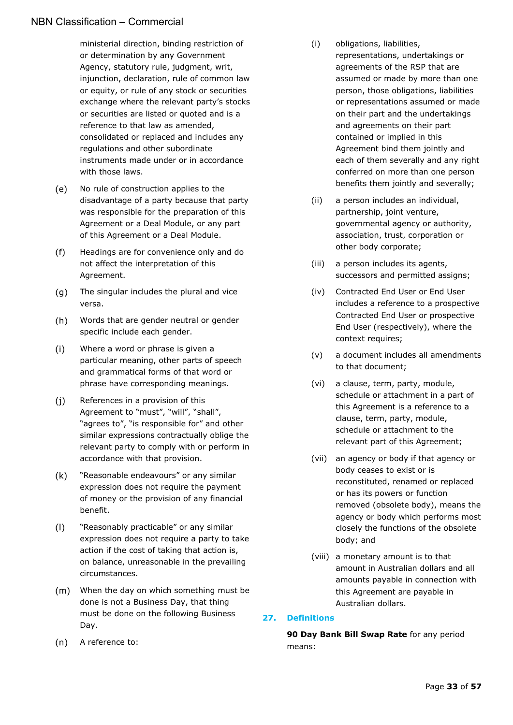ministerial direction, binding restriction of or determination by any Government Agency, statutory rule, judgment, writ, injunction, declaration, rule of common law or equity, or rule of any stock or securities exchange where the relevant party's stocks or securities are listed or quoted and is a reference to that law as amended, consolidated or replaced and includes any regulations and other subordinate instruments made under or in accordance with those laws.

- No rule of construction applies to the (e) disadvantage of a party because that party was responsible for the preparation of this Agreement or a Deal Module, or any part of this Agreement or a Deal Module.
- $(f)$ Headings are for convenience only and do not affect the interpretation of this Agreement.
- $(q)$ The singular includes the plural and vice versa.
- $(h)$ Words that are gender neutral or gender specific include each gender.
- $(i)$ Where a word or phrase is given a particular meaning, other parts of speech and grammatical forms of that word or phrase have corresponding meanings.
- $(i)$ References in a provision of this Agreement to "must", "will", "shall", "agrees to", "is responsible for" and other similar expressions contractually oblige the relevant party to comply with or perform in accordance with that provision.
- $(k)$ "Reasonable endeavours" or any similar expression does not require the payment of money or the provision of any financial benefit.
- $(1)$ "Reasonably practicable" or any similar expression does not require a party to take action if the cost of taking that action is, on balance, unreasonable in the prevailing circumstances.
- When the day on which something must be done is not a Business Day, that thing must be done on the following Business Day.
- $(n)$ A reference to:
- (i) obligations, liabilities, representations, undertakings or agreements of the RSP that are assumed or made by more than one person, those obligations, liabilities or representations assumed or made on their part and the undertakings and agreements on their part contained or implied in this Agreement bind them jointly and each of them severally and any right conferred on more than one person benefits them jointly and severally;
- (ii) a person includes an individual, partnership, joint venture, governmental agency or authority, association, trust, corporation or other body corporate;
- (iii) a person includes its agents, successors and permitted assigns;
- (iv) Contracted End User or End User includes a reference to a prospective Contracted End User or prospective End User (respectively), where the context requires;
- (v) a document includes all amendments to that document;
- (vi) a clause, term, party, module, schedule or attachment in a part of this Agreement is a reference to a clause, term, party, module, schedule or attachment to the relevant part of this Agreement;
- (vii) an agency or body if that agency or body ceases to exist or is reconstituted, renamed or replaced or has its powers or function removed (obsolete body), means the agency or body which performs most closely the functions of the obsolete body; and
- (viii) a monetary amount is to that amount in Australian dollars and all amounts payable in connection with this Agreement are payable in Australian dollars.

## <span id="page-32-0"></span>**27. Definitions**

**90 Day Bank Bill Swap Rate** for any period means: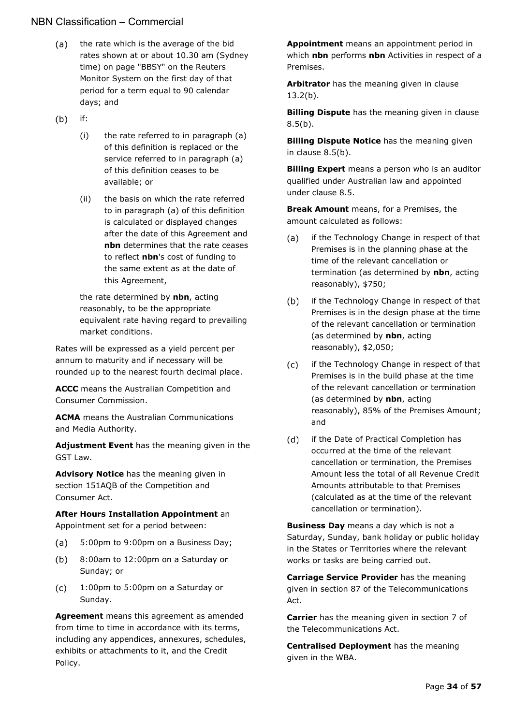- $(a)$ the rate which is the average of the bid rates shown at or about 10.30 am (Sydney time) on page "BBSY" on the Reuters Monitor System on the first day of that period for a term equal to 90 calendar days; and
- $(b)$ if:
	- (i) the rate referred to in paragraph (a) of this definition is replaced or the service referred to in paragraph (a) of this definition ceases to be available; or
	- (ii) the basis on which the rate referred to in paragraph (a) of this definition is calculated or displayed changes after the date of this Agreement and **nbn** determines that the rate ceases to reflect **nbn**'s cost of funding to the same extent as at the date of this Agreement,

the rate determined by **nbn**, acting reasonably, to be the appropriate equivalent rate having regard to prevailing market conditions.

Rates will be expressed as a yield percent per annum to maturity and if necessary will be rounded up to the nearest fourth decimal place.

**ACCC** means the Australian Competition and Consumer Commission.

**ACMA** means the Australian Communications and Media Authority.

**Adjustment Event** has the meaning given in the GST Law.

**Advisory Notice** has the meaning given in section 151AQB of the Competition and Consumer Act.

#### **After Hours Installation Appointment** an Appointment set for a period between:

- 5:00pm to 9:00pm on a Business Day; (a)
- 8:00am to 12:00pm on a Saturday or  $(b)$ Sunday; or
- $(c)$ 1:00pm to 5:00pm on a Saturday or Sunday.

**Agreement** means this agreement as amended from time to time in accordance with its terms, including any appendices, annexures, schedules, exhibits or attachments to it, and the Credit Policy.

**Appointment** means an appointment period in which **nbn** performs **nbn** Activities in respect of a Premises.

**Arbitrator** has the meaning given in clause [13.2\(b\).](#page-27-7)

**Billing Dispute** has the meaning given in clause  $8.5(b)$ .

**Billing Dispute Notice** has the meaning given in clause [8.5\(b\).](#page-19-4)

**Billing Expert** means a person who is an auditor qualified under Australian law and appointed under clause [8.5.](#page-19-1)

**Break Amount** means, for a Premises, the amount calculated as follows:

- if the Technology Change in respect of that (a) Premises is in the planning phase at the time of the relevant cancellation or termination (as determined by **nbn**, acting reasonably), \$750;
- $(b)$ if the Technology Change in respect of that Premises is in the design phase at the time of the relevant cancellation or termination (as determined by **nbn**, acting reasonably), \$2,050;
- $(c)$ if the Technology Change in respect of that Premises is in the build phase at the time of the relevant cancellation or termination (as determined by **nbn**, acting reasonably), 85% of the Premises Amount; and
- $(d)$ if the Date of Practical Completion has occurred at the time of the relevant cancellation or termination, the Premises Amount less the total of all Revenue Credit Amounts attributable to that Premises (calculated as at the time of the relevant cancellation or termination).

**Business Day** means a day which is not a Saturday, Sunday, bank holiday or public holiday in the States or Territories where the relevant works or tasks are being carried out.

**Carriage Service Provider** has the meaning given in section 87 of the Telecommunications Act.

**Carrier** has the meaning given in section 7 of the Telecommunications Act.

**Centralised Deployment** has the meaning given in the WBA.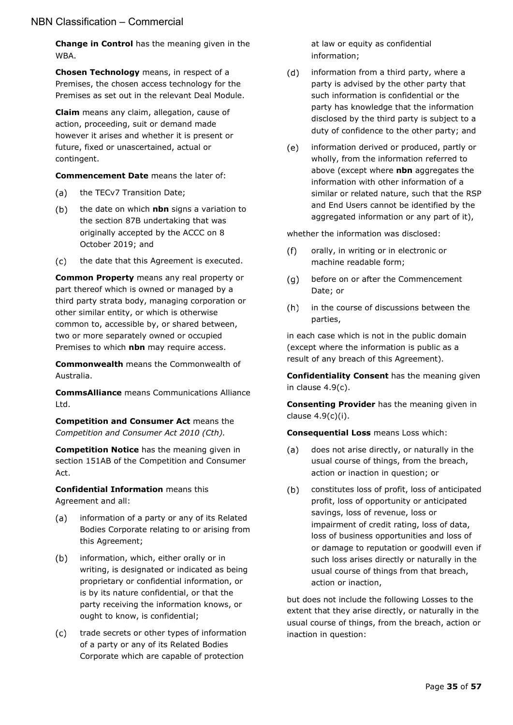**Change in Control** has the meaning given in the WBA.

**Chosen Technology** means, in respect of a Premises, the chosen access technology for the Premises as set out in the relevant Deal Module.

**Claim** means any claim, allegation, cause of action, proceeding, suit or demand made however it arises and whether it is present or future, fixed or unascertained, actual or contingent.

**Commencement Date** means the later of:

- $(a)$ the TECv7 Transition Date;
- $(b)$ the date on which **nbn** signs a variation to the section 87B undertaking that was originally accepted by the ACCC on 8 October 2019; and
- the date that this Agreement is executed.  $(c)$

**Common Property** means any real property or part thereof which is owned or managed by a third party strata body, managing corporation or other similar entity, or which is otherwise common to, accessible by, or shared between, two or more separately owned or occupied Premises to which **nbn** may require access.

**Commonwealth** means the Commonwealth of Australia.

**CommsAlliance** means Communications Alliance Ltd.

**Competition and Consumer Act** means the *Competition and Consumer Act 2010 (Cth).* 

**Competition Notice** has the meaning given in section 151AB of the Competition and Consumer Act.

**Confidential Information** means this Agreement and all:

- information of a party or any of its Related (a) Bodies Corporate relating to or arising from this Agreement;
- $(b)$ information, which, either orally or in writing, is designated or indicated as being proprietary or confidential information, or is by its nature confidential, or that the party receiving the information knows, or ought to know, is confidential;
- $(c)$ trade secrets or other types of information of a party or any of its Related Bodies Corporate which are capable of protection

at law or equity as confidential information;

- $(d)$ information from a third party, where a party is advised by the other party that such information is confidential or the party has knowledge that the information disclosed by the third party is subject to a duty of confidence to the other party; and
- $(e)$ information derived or produced, partly or wholly, from the information referred to above (except where **nbn** aggregates the information with other information of a similar or related nature, such that the RSP and End Users cannot be identified by the aggregated information or any part of it),

whether the information was disclosed:

- $(f)$ orally, in writing or in electronic or machine readable form;
- before on or after the Commencement  $(q)$ Date; or
- $(h)$ in the course of discussions between the parties,

in each case which is not in the public domain (except where the information is public as a result of any breach of this Agreement).

**Confidentiality Consent** has the meaning given in clause [4.9\(c\).](#page-14-4)

**Consenting Provider** has the meaning given in clause [4.9\(c\)\(i\).](#page-14-5)

**Consequential Loss** means Loss which:

- does not arise directly, or naturally in the  $(a)$ usual course of things, from the breach, action or inaction in question; or
- $(b)$ constitutes loss of profit, loss of anticipated profit, loss of opportunity or anticipated savings, loss of revenue, loss or impairment of credit rating, loss of data, loss of business opportunities and loss of or damage to reputation or goodwill even if such loss arises directly or naturally in the usual course of things from that breach, action or inaction,

but does not include the following Losses to the extent that they arise directly, or naturally in the usual course of things, from the breach, action or inaction in question: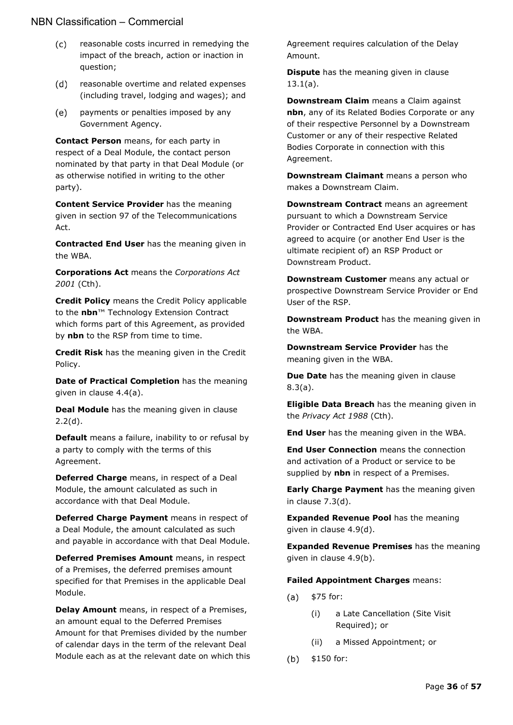- $(c)$ reasonable costs incurred in remedying the impact of the breach, action or inaction in question;
- $(d)$ reasonable overtime and related expenses (including travel, lodging and wages); and
- payments or penalties imposed by any  $(e)$ Government Agency.

**Contact Person** means, for each party in respect of a Deal Module, the contact person nominated by that party in that Deal Module (or as otherwise notified in writing to the other party).

**Content Service Provider** has the meaning given in section 97 of the Telecommunications Act.

**Contracted End User** has the meaning given in the WBA.

**Corporations Act** means the *Corporations Act 2001* (Cth).

**Credit Policy** means the Credit Policy applicable to the **nbn**™ Technology Extension Contract which forms part of this Agreement, as provided by **nbn** to the RSP from time to time.

**Credit Risk** has the meaning given in the Credit Policy.

**Date of Practical Completion** has the meaning given in clause [4.4\(a\).](#page-12-8)

**Deal Module** has the meaning given in clause [2.2\(d\).](#page-6-10)

**Default** means a failure, inability to or refusal by a party to comply with the terms of this Agreement.

**Deferred Charge** means, in respect of a Deal Module, the amount calculated as such in accordance with that Deal Module.

**Deferred Charge Payment** means in respect of a Deal Module, the amount calculated as such and payable in accordance with that Deal Module.

**Deferred Premises Amount** means, in respect of a Premises, the deferred premises amount specified for that Premises in the applicable Deal Module.

**Delay Amount** means, in respect of a Premises, an amount equal to the Deferred Premises Amount for that Premises divided by the number of calendar days in the term of the relevant Deal Module each as at the relevant date on which this Agreement requires calculation of the Delay Amount.

**Dispute** has the meaning given in clause [13.1\(a\).](#page-27-8)

**Downstream Claim** means a Claim against **nbn**, any of its Related Bodies Corporate or any of their respective Personnel by a Downstream Customer or any of their respective Related Bodies Corporate in connection with this Agreement.

**Downstream Claimant** means a person who makes a Downstream Claim.

**Downstream Contract** means an agreement pursuant to which a Downstream Service Provider or Contracted End User acquires or has agreed to acquire (or another End User is the ultimate recipient of) an RSP Product or Downstream Product.

**Downstream Customer** means any actual or prospective Downstream Service Provider or End User of the RSP.

**Downstream Product** has the meaning given in the WBA.

**Downstream Service Provider** has the meaning given in the WBA.

**Due Date** has the meaning given in clause [8.3\(a\).](#page-18-10)

**Eligible Data Breach** has the meaning given in the *Privacy Act 1988* (Cth).

**End User** has the meaning given in the WBA.

**End User Connection** means the connection and activation of a Product or service to be supplied by **nbn** in respect of a Premises.

**Early Charge Payment** has the meaning given in clause [7.3\(d\).](#page-17-10)

**Expanded Revenue Pool** has the meaning given in clause [4.9\(d\).](#page-14-6)

**Expanded Revenue Premises** has the meaning given in clause [4.9\(b\).](#page-13-7)

**Failed Appointment Charges** means:

- \$75 for:  $(a)$ 
	- (i) a Late Cancellation (Site Visit Required); or
	- (ii) a Missed Appointment; or
- $(b)$ \$150 for: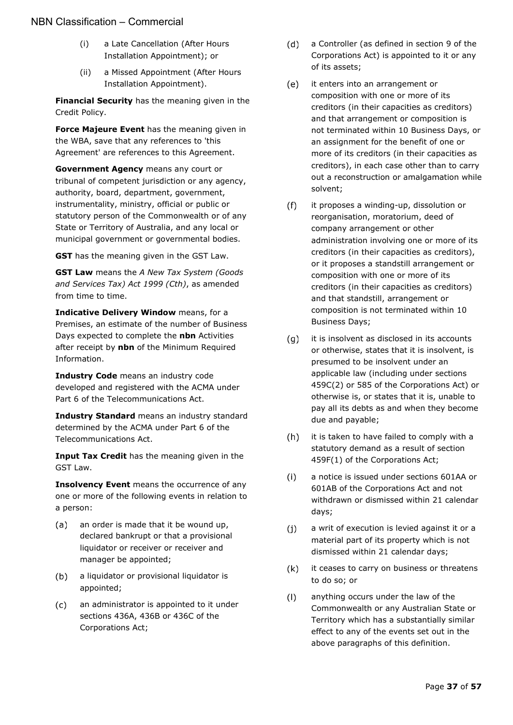- (i) a Late Cancellation (After Hours Installation Appointment); or
- (ii) a Missed Appointment (After Hours Installation Appointment).

**Financial Security** has the meaning given in the Credit Policy.

**Force Majeure Event** has the meaning given in the WBA, save that any references to 'this Agreement' are references to this Agreement.

**Government Agency** means any court or tribunal of competent jurisdiction or any agency, authority, board, department, government, instrumentality, ministry, official or public or statutory person of the Commonwealth or of any State or Territory of Australia, and any local or municipal government or governmental bodies.

**GST** has the meaning given in the GST Law.

**GST Law** means the *A New Tax System (Goods and Services Tax) Act 1999 (Cth)*, as amended from time to time.

**Indicative Delivery Window** means, for a Premises, an estimate of the number of Business Days expected to complete the **nbn** Activities after receipt by **nbn** of the Minimum Required Information.

**Industry Code** means an industry code developed and registered with the ACMA under Part 6 of the Telecommunications Act.

**Industry Standard** means an industry standard determined by the ACMA under Part 6 of the Telecommunications Act.

**Input Tax Credit** has the meaning given in the GST Law.

**Insolvency Event** means the occurrence of any one or more of the following events in relation to a person:

- $(a)$ an order is made that it be wound up, declared bankrupt or that a provisional liquidator or receiver or receiver and manager be appointed;
- $(b)$ a liquidator or provisional liquidator is appointed;
- $(c)$ an administrator is appointed to it under sections 436A, 436B or 436C of the Corporations Act;
- $(d)$ a Controller (as defined in section 9 of the Corporations Act) is appointed to it or any of its assets;
- $(e)$ it enters into an arrangement or composition with one or more of its creditors (in their capacities as creditors) and that arrangement or composition is not terminated within 10 Business Days, or an assignment for the benefit of one or more of its creditors (in their capacities as creditors), in each case other than to carry out a reconstruction or amalgamation while solvent;
- $(f)$ it proposes a winding-up, dissolution or reorganisation, moratorium, deed of company arrangement or other administration involving one or more of its creditors (in their capacities as creditors), or it proposes a standstill arrangement or composition with one or more of its creditors (in their capacities as creditors) and that standstill, arrangement or composition is not terminated within 10 Business Days;
- it is insolvent as disclosed in its accounts  $(q)$ or otherwise, states that it is insolvent, is presumed to be insolvent under an applicable law (including under sections 459C(2) or 585 of the Corporations Act) or otherwise is, or states that it is, unable to pay all its debts as and when they become due and payable;
- $(h)$ it is taken to have failed to comply with a statutory demand as a result of section 459F(1) of the Corporations Act;
- $(i)$ a notice is issued under sections 601AA or 601AB of the Corporations Act and not withdrawn or dismissed within 21 calendar days;
- $(i)$ a writ of execution is levied against it or a material part of its property which is not dismissed within 21 calendar days;
- $(k)$ it ceases to carry on business or threatens to do so; or
- anything occurs under the law of the  $(1)$ Commonwealth or any Australian State or Territory which has a substantially similar effect to any of the events set out in the above paragraphs of this definition.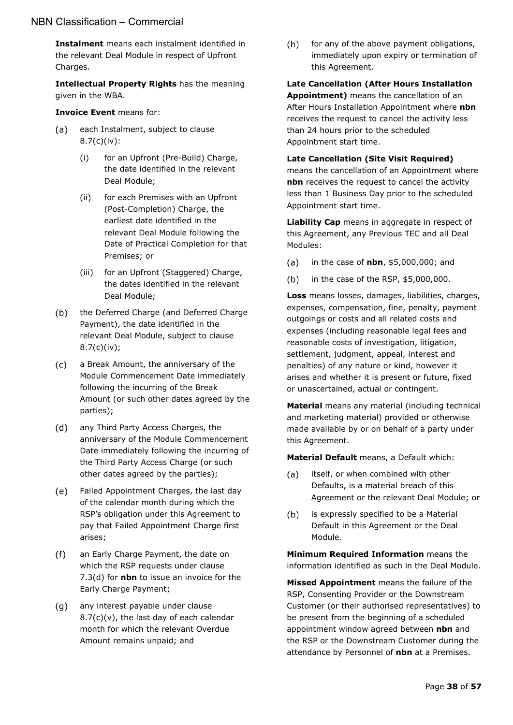**Instalment** means each instalment identified in the relevant Deal Module in respect of Upfront Charges.

**Intellectual Property Rights** has the meaning given in the WBA.

#### **Invoice Event** means for:

- $(a)$ each Instalment, subject to clause [8.7\(c\)\(iv\):](#page-21-3)
	- (i) for an Upfront (Pre-Build) Charge, the date identified in the relevant Deal Module;
	- (ii) for each Premises with an Upfront (Post-Completion) Charge, the earliest date identified in the relevant Deal Module following the Date of Practical Completion for that Premises; or
	- (iii) for an Upfront (Staggered) Charge, the dates identified in the relevant Deal Module;
- $(b)$ the Deferred Charge (and Deferred Charge Payment), the date identified in the relevant Deal Module, subject to clause [8.7\(c\)\(iv\);](#page-21-3)
- $(c)$ a Break Amount, the anniversary of the Module Commencement Date immediately following the incurring of the Break Amount (or such other dates agreed by the parties);
- $(d)$ any Third Party Access Charges, the anniversary of the Module Commencement Date immediately following the incurring of the Third Party Access Charge (or such other dates agreed by the parties);
- $(e)$ Failed Appointment Charges, the last day of the calendar month during which the RSP's obligation under this Agreement to pay that Failed Appointment Charge first arises;
- $(f)$ an Early Charge Payment, the date on which the RSP requests under clause [7.3\(d\)](#page-17-10) for **nbn** to issue an invoice for the Early Charge Payment;
- $(q)$ any interest payable under clause  $8.7(c)(v)$ , the last day of each calendar month for which the relevant Overdue Amount remains unpaid; and

 $(h)$ for any of the above payment obligations, immediately upon expiry or termination of this Agreement.

**Late Cancellation (After Hours Installation Appointment)** means the cancellation of an After Hours Installation Appointment where **nbn** receives the request to cancel the activity less than 24 hours prior to the scheduled Appointment start time.

**Late Cancellation (Site Visit Required)**  means the cancellation of an Appointment where **nbn** receives the request to cancel the activity less than 1 Business Day prior to the scheduled Appointment start time.

**Liability Cap** means in aggregate in respect of this Agreement, any Previous TEC and all Deal Modules:

- $(a)$ in the case of **nbn**, \$5,000,000; and
- in the case of the RSP, \$5,000,000.  $(b)$

**Loss** means losses, damages, liabilities, charges, expenses, compensation, fine, penalty, payment outgoings or costs and all related costs and expenses (including reasonable legal fees and reasonable costs of investigation, litigation, settlement, judgment, appeal, interest and penalties) of any nature or kind, however it arises and whether it is present or future, fixed or unascertained, actual or contingent.

**Material** means any material (including technical and marketing material) provided or otherwise made available by or on behalf of a party under this Agreement.

**Material Default** means, a Default which:

- $(a)$ itself, or when combined with other Defaults, is a material breach of this Agreement or the relevant Deal Module; or
- $(b)$ is expressly specified to be a Material Default in this Agreement or the Deal Module.

**Minimum Required Information** means the information identified as such in the Deal Module.

**Missed Appointment** means the failure of the RSP, Consenting Provider or the Downstream Customer (or their authorised representatives) to be present from the beginning of a scheduled appointment window agreed between **nbn** and the RSP or the Downstream Customer during the attendance by Personnel of **nbn** at a Premises.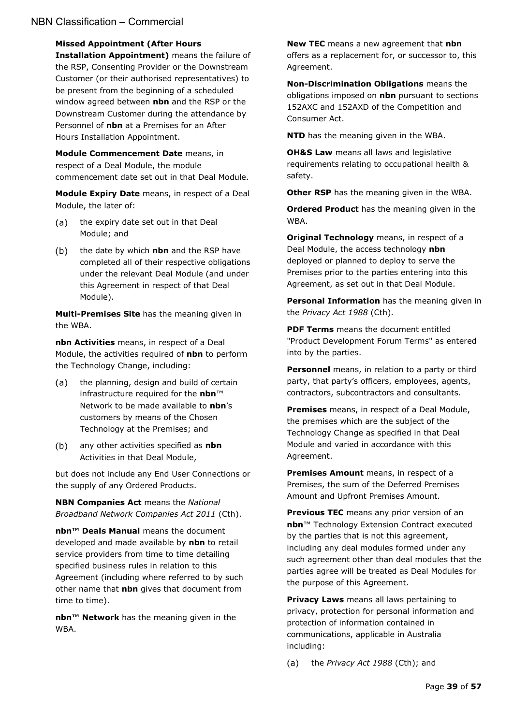#### **Missed Appointment (After Hours**

**Installation Appointment)** means the failure of the RSP, Consenting Provider or the Downstream Customer (or their authorised representatives) to be present from the beginning of a scheduled window agreed between **nbn** and the RSP or the Downstream Customer during the attendance by Personnel of **nbn** at a Premises for an After Hours Installation Appointment.

**Module Commencement Date** means, in respect of a Deal Module, the module commencement date set out in that Deal Module.

**Module Expiry Date** means, in respect of a Deal Module, the later of:

- the expiry date set out in that Deal  $(a)$ Module; and
- $(b)$ the date by which **nbn** and the RSP have completed all of their respective obligations under the relevant Deal Module (and under this Agreement in respect of that Deal Module).

**Multi-Premises Site** has the meaning given in the WBA.

**nbn Activities** means, in respect of a Deal Module, the activities required of **nbn** to perform the Technology Change, including:

- $(a)$ the planning, design and build of certain infrastructure required for the **nbn**™ Network to be made available to **nbn**'s customers by means of the Chosen Technology at the Premises; and
- $(b)$ any other activities specified as **nbn**  Activities in that Deal Module,

but does not include any End User Connections or the supply of any Ordered Products.

**NBN Companies Act** means the *National Broadband Network Companies Act 2011* (Cth).

**nbn™ Deals Manual** means the document developed and made available by **nbn** to retail service providers from time to time detailing specified business rules in relation to this Agreement (including where referred to by such other name that **nbn** gives that document from time to time).

**nbn™ Network** has the meaning given in the WBA.

**New TEC** means a new agreement that **nbn** offers as a replacement for, or successor to, this Agreement.

**Non-Discrimination Obligations** means the obligations imposed on **nbn** pursuant to sections 152AXC and 152AXD of the Competition and Consumer Act.

**NTD** has the meaning given in the WBA.

**OH&S Law** means all laws and legislative requirements relating to occupational health & safety.

**Other RSP** has the meaning given in the WBA.

**Ordered Product** has the meaning given in the WBA.

**Original Technology** means, in respect of a Deal Module, the access technology **nbn** deployed or planned to deploy to serve the Premises prior to the parties entering into this Agreement, as set out in that Deal Module.

**Personal Information** has the meaning given in the *Privacy Act 1988* (Cth).

**PDF Terms** means the document entitled "Product Development Forum Terms" as entered into by the parties.

**Personnel** means, in relation to a party or third party, that party's officers, employees, agents, contractors, subcontractors and consultants.

**Premises** means, in respect of a Deal Module, the premises which are the subject of the Technology Change as specified in that Deal Module and varied in accordance with this Agreement.

**Premises Amount** means, in respect of a Premises, the sum of the Deferred Premises Amount and Upfront Premises Amount.

**Previous TEC** means any prior version of an **nbn**™ Technology Extension Contract executed by the parties that is not this agreement, including any deal modules formed under any such agreement other than deal modules that the parties agree will be treated as Deal Modules for the purpose of this Agreement.

**Privacy Laws** means all laws pertaining to privacy, protection for personal information and protection of information contained in communications, applicable in Australia including:

the *Privacy Act 1988* (Cth); and $(a)$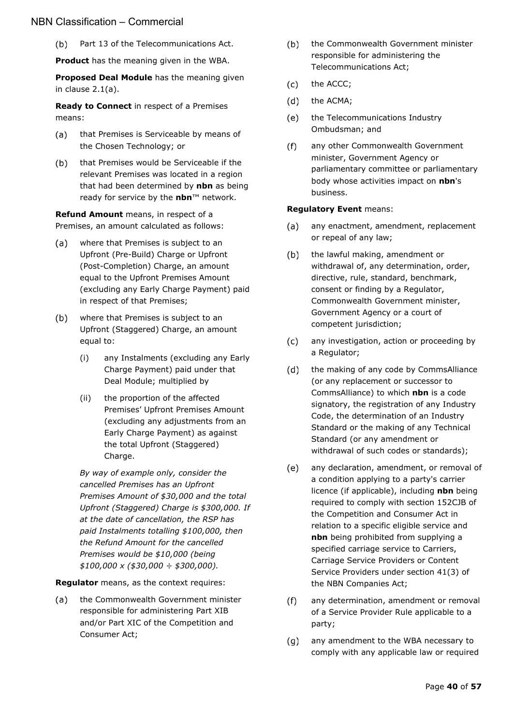$(b)$ Part 13 of the Telecommunications Act.

**Product** has the meaning given in the WBA.

**Proposed Deal Module** has the meaning given in clause [2.1\(a\).](#page-6-11)

**Ready to Connect** in respect of a Premises means:

- (a) that Premises is Serviceable by means of the Chosen Technology; or
- that Premises would be Serviceable if the  $(b)$ relevant Premises was located in a region that had been determined by **nbn** as being ready for service by the **nbn**™ network.

**Refund Amount** means, in respect of a Premises, an amount calculated as follows:

- $(a)$ where that Premises is subject to an Upfront (Pre-Build) Charge or Upfront (Post-Completion) Charge, an amount equal to the Upfront Premises Amount (excluding any Early Charge Payment) paid in respect of that Premises;
- where that Premises is subject to an  $(b)$ Upfront (Staggered) Charge, an amount equal to:
	- (i) any Instalments (excluding any Early Charge Payment) paid under that Deal Module; multiplied by
	- (ii) the proportion of the affected Premises' Upfront Premises Amount (excluding any adjustments from an Early Charge Payment) as against the total Upfront (Staggered) Charge.

*By way of example only, consider the cancelled Premises has an Upfront Premises Amount of \$30,000 and the total Upfront (Staggered) Charge is \$300,000. If at the date of cancellation, the RSP has paid Instalments totalling \$100,000, then the Refund Amount for the cancelled Premises would be \$10,000 (being \$100,000 x (\$30,000 ÷ \$300,000).* 

**Regulator** means, as the context requires:

the Commonwealth Government minister  $(a)$ responsible for administering Part XIB and/or Part XIC of the Competition and Consumer Act;

- $(b)$ the Commonwealth Government minister responsible for administering the Telecommunications Act;
- $(c)$ the ACCC;
- $(d)$ the ACMA;
- $(e)$ the Telecommunications Industry Ombudsman; and
- $(f)$ any other Commonwealth Government minister, Government Agency or parliamentary committee or parliamentary body whose activities impact on **nbn**'s business.

#### **Regulatory Event** means:

- any enactment, amendment, replacement (a) or repeal of any law;
- $(b)$ the lawful making, amendment or withdrawal of, any determination, order, directive, rule, standard, benchmark, consent or finding by a Regulator, Commonwealth Government minister, Government Agency or a court of competent jurisdiction;
- $(c)$ any investigation, action or proceeding by a Regulator;
- $(d)$ the making of any code by CommsAlliance (or any replacement or successor to CommsAlliance) to which **nbn** is a code signatory, the registration of any Industry Code, the determination of an Industry Standard or the making of any Technical Standard (or any amendment or withdrawal of such codes or standards);
- $(e)$ any declaration, amendment, or removal of a condition applying to a party's carrier licence (if applicable), including **nbn** being required to comply with section 152CJB of the Competition and Consumer Act in relation to a specific eligible service and **nbn** being prohibited from supplying a specified carriage service to Carriers, Carriage Service Providers or Content Service Providers under section 41(3) of the NBN Companies Act;
- $(f)$ any determination, amendment or removal of a Service Provider Rule applicable to a party;
- $(q)$ any amendment to the WBA necessary to comply with any applicable law or required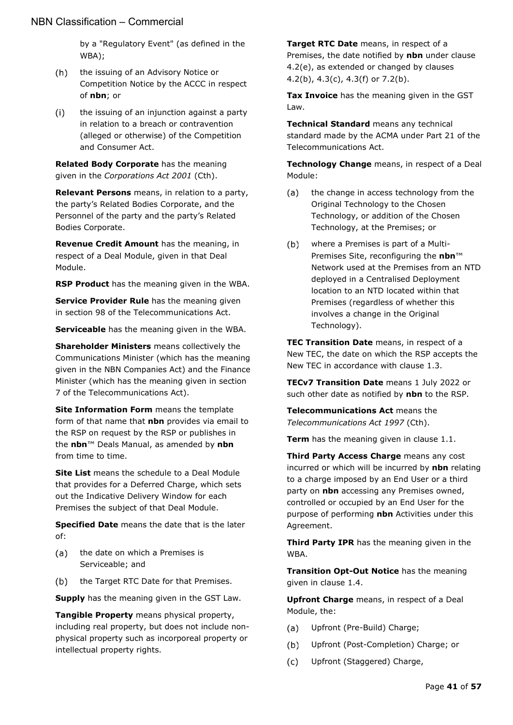by a "Regulatory Event" (as defined in the WBA);

- $(h)$ the issuing of an Advisory Notice or Competition Notice by the ACCC in respect of **nbn**; or
- the issuing of an injunction against a party  $(i)$ in relation to a breach or contravention (alleged or otherwise) of the Competition and Consumer Act.

**Related Body Corporate** has the meaning given in the *Corporations Act 2001* (Cth).

**Relevant Persons** means, in relation to a party, the party's Related Bodies Corporate, and the Personnel of the party and the party's Related Bodies Corporate.

**Revenue Credit Amount** has the meaning, in respect of a Deal Module, given in that Deal Module.

**RSP Product** has the meaning given in the WBA.

**Service Provider Rule** has the meaning given in section 98 of the Telecommunications Act.

**Serviceable** has the meaning given in the WBA.

**Shareholder Ministers** means collectively the Communications Minister (which has the meaning given in the NBN Companies Act) and the Finance Minister (which has the meaning given in section 7 of the Telecommunications Act).

**Site Information Form** means the template form of that name that **nbn** provides via email to the RSP on request by the RSP or publishes in the **nbn**™ Deals Manual, as amended by **nbn**  from time to time.

**Site List** means the schedule to a Deal Module that provides for a Deferred Charge, which sets out the Indicative Delivery Window for each Premises the subject of that Deal Module.

**Specified Date** means the date that is the later of:

- the date on which a Premises is  $(a)$ Serviceable; and
- (b) the Target RTC Date for that Premises.

**Supply** has the meaning given in the GST Law.

**Tangible Property** means physical property, including real property, but does not include nonphysical property such as incorporeal property or intellectual property rights.

**Target RTC Date** means, in respect of a Premises, the date notified by **nbn** under clause [4.2\(e\),](#page-11-7) as extended or changed by clauses [4.2\(b\),](#page-11-5) [4.3\(c\),](#page-12-3) [4.3\(f\)](#page-12-4) or [7.2\(b\).](#page-17-5)

**Tax Invoice** has the meaning given in the GST Law.

**Technical Standard** means any technical standard made by the ACMA under Part 21 of the Telecommunications Act.

**Technology Change** means, in respect of a Deal Module:

- $(a)$ the change in access technology from the Original Technology to the Chosen Technology, or addition of the Chosen Technology, at the Premises; or
- $(b)$ where a Premises is part of a Multi-Premises Site, reconfiguring the **nbn**™ Network used at the Premises from an NTD deployed in a Centralised Deployment location to an NTD located within that Premises (regardless of whether this involves a change in the Original Technology).

**TEC Transition Date** means, in respect of a New TEC, the date on which the RSP accepts the New TEC in accordance with clause [1.3.](#page-6-4)

**TECv7 Transition Date** means 1 July 2022 or such other date as notified by **nbn** to the RSP.

**Telecommunications Act** means the *Telecommunications Act 1997* (Cth).

**Term** has the meaning given in clause [1.1.](#page-6-2)

**Third Party Access Charge** means any cost incurred or which will be incurred by **nbn** relating to a charge imposed by an End User or a third party on **nbn** accessing any Premises owned, controlled or occupied by an End User for the purpose of performing **nbn** Activities under this Agreement.

**Third Party IPR** has the meaning given in the WBA.

**Transition Opt-Out Notice** has the meaning given in clause [1.4.](#page-6-5)

**Upfront Charge** means, in respect of a Deal Module, the:

- $(a)$ Upfront (Pre-Build) Charge;
- $(b)$ Upfront (Post-Completion) Charge; or
- $(c)$ Upfront (Staggered) Charge,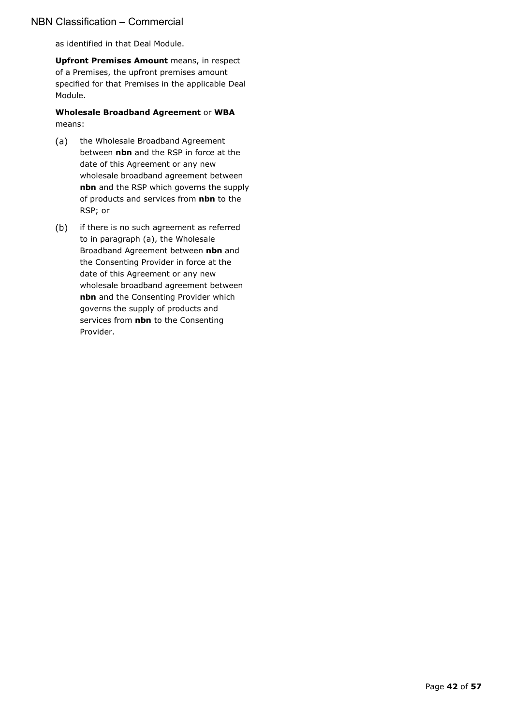as identified in that Deal Module.

**Upfront Premises Amount** means, in respect of a Premises, the upfront premises amount specified for that Premises in the applicable Deal Module.

#### **Wholesale Broadband Agreement** or **WBA** means:

- (a) the Wholesale Broadband Agreement between **nbn** and the RSP in force at the date of this Agreement or any new wholesale broadband agreement between **nbn** and the RSP which governs the supply of products and services from **nbn** to the RSP; or
- (b) if there is no such agreement as referred to in paragraph (a), the Wholesale Broadband Agreement between **nbn** and the Consenting Provider in force at the date of this Agreement or any new wholesale broadband agreement between **nbn** and the Consenting Provider which governs the supply of products and services from **nbn** to the Consenting Provider.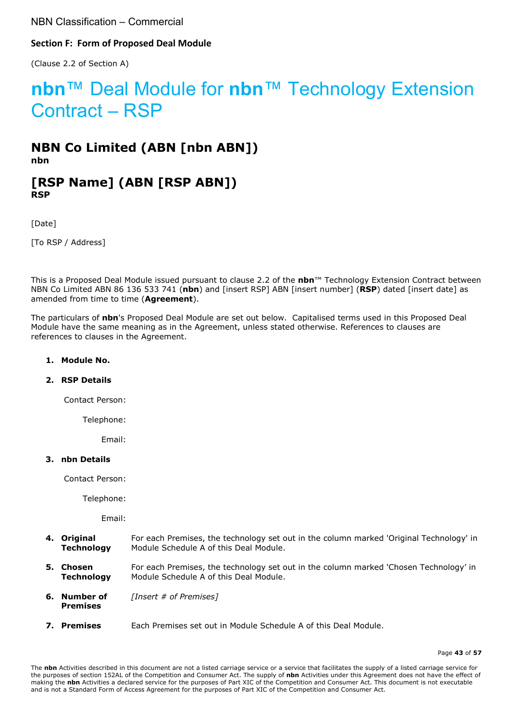#### <span id="page-42-0"></span>**Section F: Form of Proposed Deal Module**

(Clause [2.2](#page-6-8) of Section A)

# **nbn**™ Deal Module for **nbn**™ Technology Extension Contract – RSP

## **NBN Co Limited (ABN [nbn ABN]) nbn**

## **[RSP Name] (ABN [RSP ABN]) RSP**

[Date]

[To RSP / Address]

This is a Proposed Deal Module issued pursuant to clause [2.2](#page-6-8) of the **nbn**™ Technology Extension Contract between NBN Co Limited ABN 86 136 533 741 (**nbn**) and [insert RSP] ABN [insert number] (**RSP**) dated [insert date] as amended from time to time (**Agreement**).

The particulars of **nbn**'s Proposed Deal Module are set out below. Capitalised terms used in this Proposed Deal Module have the same meaning as in the Agreement, unless stated otherwise. References to clauses are references to clauses in the Agreement.

#### **1. Module No.**

#### **2. RSP Details**

Contact Person:

Telephone:

Email:

#### **3. nbn Details**

Contact Person:

Telephone:

Email:

- **4. Original Technology** For each Premises, the technology set out in the column marked 'Original Technology' in Module Schedule A of this Deal Module.
- **5. Chosen Technology** For each Premises, the technology set out in the column marked 'Chosen Technology' in Module Schedule A of this Deal Module.
- **6. Number of Premises** *[Insert # of Premises]*
- **7. Premises** Each Premises set out in Module Schedule A of this Deal Module.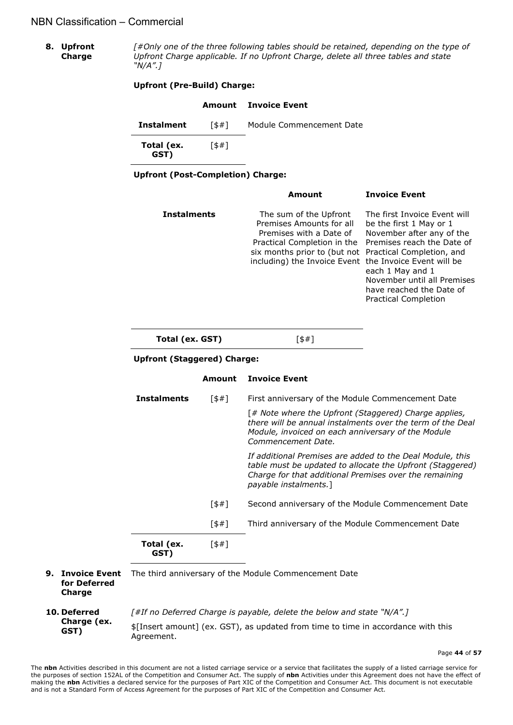**8. Upfront Charge** *[#Only one of the three following tables should be retained, depending on the type of Upfront Charge applicable. If no Upfront Charge, delete all three tables and state "N/A".]*

#### **Upfront (Pre-Build) Charge:**

|                    |     | <b>Amount</b> Invoice Event |
|--------------------|-----|-----------------------------|
| <b>Instalment</b>  | 5#1 | Module Commencement Date    |
| Total (ex.<br>GST) | 5#1 |                             |

**Upfront (Post-Completion) Charge:**

|                                    |        | Amount                                                                                                                                                                                                                           | <b>Invoice Event</b>                                                                                                                                                                                                             |  |  |
|------------------------------------|--------|----------------------------------------------------------------------------------------------------------------------------------------------------------------------------------------------------------------------------------|----------------------------------------------------------------------------------------------------------------------------------------------------------------------------------------------------------------------------------|--|--|
| <b>Instalments</b>                 |        | The sum of the Upfront<br>Premises Amounts for all<br>Premises with a Date of<br>Practical Completion in the<br>six months prior to (but not Practical Completion, and<br>including) the Invoice Event the Invoice Event will be | The first Invoice Event will<br>be the first 1 May or 1<br>November after any of the<br>Premises reach the Date of<br>each 1 May and 1<br>November until all Premises<br>have reached the Date of<br><b>Practical Completion</b> |  |  |
| Total (ex. GST)                    |        | 5#1                                                                                                                                                                                                                              |                                                                                                                                                                                                                                  |  |  |
| <b>Upfront (Staggered) Charge:</b> |        |                                                                                                                                                                                                                                  |                                                                                                                                                                                                                                  |  |  |
|                                    | Amount | <b>Invoice Event</b>                                                                                                                                                                                                             |                                                                                                                                                                                                                                  |  |  |
| <b>Instalments</b>                 | 5#1    | First anniversary of the Module Commencement Date                                                                                                                                                                                |                                                                                                                                                                                                                                  |  |  |
|                                    |        | [# Note where the Upfront (Staggered) Charge applies,<br>there will be annual instalments over the term of the Deal<br>Module, invoiced on each anniversary of the Module<br>Commencement Date.                                  |                                                                                                                                                                                                                                  |  |  |
|                                    |        | If additional Premises are added to the Deal Module, this<br>table must be updated to allocate the Upfront (Staggered)                                                                                                           |                                                                                                                                                                                                                                  |  |  |

*Charge for that additional Premises over the remaining payable instalments.*] [\$#] Second anniversary of the Module Commencement Date

[\$#] Third anniversary of the Module Commencement Date [\$#]

**9. Invoice Event** The third anniversary of the Module Commencement Date **for Deferred Charge**

**Total (ex. GST)**

<span id="page-43-0"></span>**10. Deferred Charge (ex. GST)** *[#If no Deferred Charge is payable, delete the below and state "N/A".]* \$[Insert amount] (ex. GST), as updated from time to time in accordance with this Agreement.

Page **44** of **57**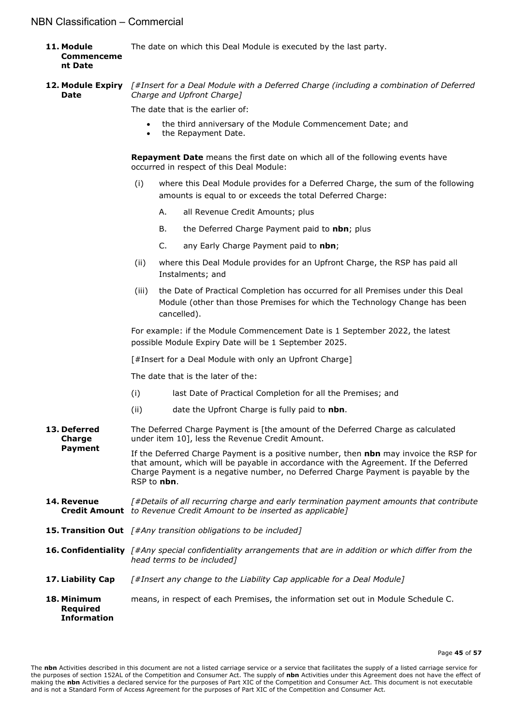- **11. Module Commenceme nt Date** The date on which this Deal Module is executed by the last party.
- **12. Module Expiry Date** *[#Insert for a Deal Module with a Deferred Charge (including a combination of Deferred Charge and Upfront Charge]*

The date that is the earlier of:

- the third anniversary of the Module Commencement Date; and
- the Repayment Date.

**Repayment Date** means the first date on which all of the following events have occurred in respect of this Deal Module:

- (i) where this Deal Module provides for a Deferred Charge, the sum of the following amounts is equal to or exceeds the total Deferred Charge:
	- A. all Revenue Credit Amounts; plus
	- B. the Deferred Charge Payment paid to **nbn**; plus
	- C. any Early Charge Payment paid to **nbn**;
- (ii) where this Deal Module provides for an Upfront Charge, the RSP has paid all Instalments; and
- (iii) the Date of Practical Completion has occurred for all Premises under this Deal Module (other than those Premises for which the Technology Change has been cancelled).

For example: if the Module Commencement Date is 1 September 2022, the latest possible Module Expiry Date will be 1 September 2025.

[#Insert for a Deal Module with only an Upfront Charge]

The date that is the later of the:

- (i) last Date of Practical Completion for all the Premises; and
- (ii) date the Upfront Charge is fully paid to **nbn**.
- **13. Deferred Charge Payment** The Deferred Charge Payment is [the amount of the Deferred Charge as calculated under item [10\]](#page-43-0), less the Revenue Credit Amount.

If the Deferred Charge Payment is a positive number, then **nbn** may invoice the RSP for that amount, which will be payable in accordance with the Agreement. If the Deferred Charge Payment is a negative number, no Deferred Charge Payment is payable by the RSP to **nbn**.

- **14. Revenue Credit Amount** *to Revenue Credit Amount to be inserted as applicable] [#Details of all recurring charge and early termination payment amounts that contribute*
- **15. Transition Out** *[#Any transition obligations to be included]*
- **16. Confidentiality** *[#Any special confidentiality arrangements that are in addition or which differ from the head terms to be included]*
- **17. Liability Cap** *[#Insert any change to the Liability Cap applicable for a Deal Module]*
- **18. Minimum Required Information** means, in respect of each Premises, the information set out in Module Schedule C.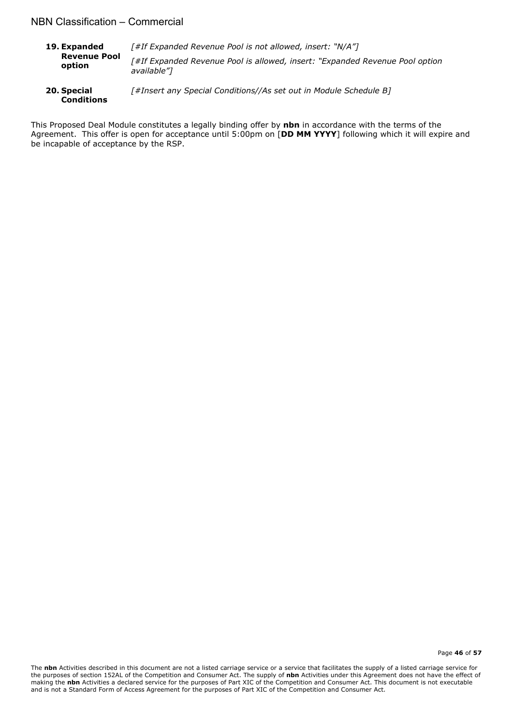- **19. Expanded Revenue Pool option**  *[#If Expanded Revenue Pool is not allowed, insert: "N/A"] [#If Expanded Revenue Pool is allowed, insert: "Expanded Revenue Pool option available"]*
- **20. Special Conditions** *[#Insert any Special Conditions//As set out in Module Schedule B]*

This Proposed Deal Module constitutes a legally binding offer by **nbn** in accordance with the terms of the Agreement. This offer is open for acceptance until 5:00pm on [**DD MM YYYY**] following which it will expire and be incapable of acceptance by the RSP.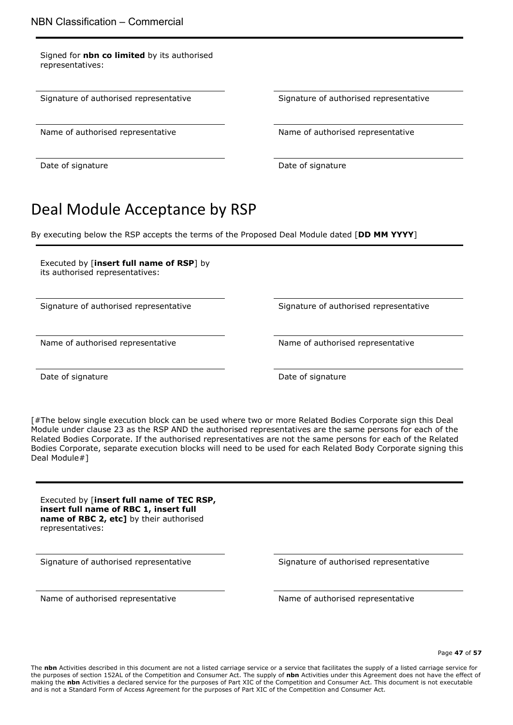Signed for **nbn co limited** by its authorised representatives:

Name of authorised representative Name of authorised representative

Signature of authorised representative Signature of authorised representative

Date of signature Date of signature Date of signature

# Deal Module Acceptance by RSP

By executing below the RSP accepts the terms of the Proposed Deal Module dated [**DD MM YYYY**]

Executed by [**insert full name of RSP**] by its authorised representatives:

Signature of authorised representative Signature of authorised representative

Name of authorised representative Name of authorised representative

Date of signature **Date of signature** Date of signature

[#The below single execution block can be used where two or more Related Bodies Corporate sign this Deal Module under clause 23 as the RSP AND the authorised representatives are the same persons for each of the Related Bodies Corporate. If the authorised representatives are not the same persons for each of the Related Bodies Corporate, separate execution blocks will need to be used for each Related Body Corporate signing this Deal Module#]

Executed by [**insert full name of TEC RSP, insert full name of RBC 1, insert full name of RBC 2, etc]** by their authorised representatives:

Signature of authorised representative Signature of authorised representative

Name of authorised representative Name of authorised representative

Page **47** of **57**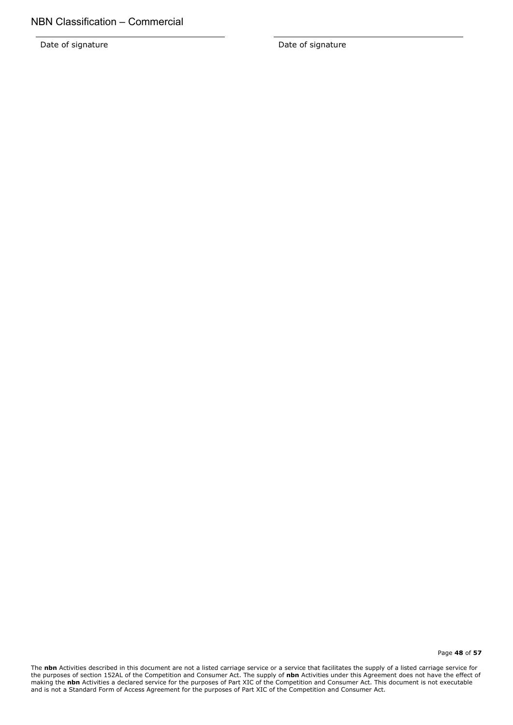Date of signature Date of signature

Page **48** of **57**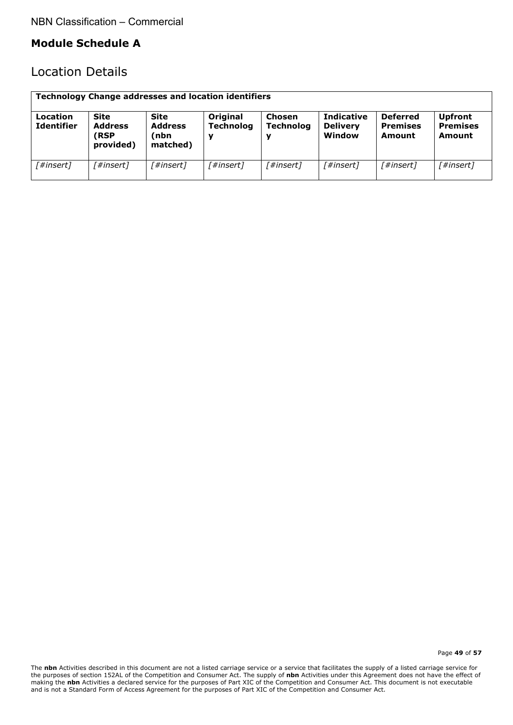## **Module Schedule A**

## Location Details

| <b>Technology Change addresses and location identifiers</b> |                                                          |                                                   |                              |                            |                                                |                                              |                                                    |
|-------------------------------------------------------------|----------------------------------------------------------|---------------------------------------------------|------------------------------|----------------------------|------------------------------------------------|----------------------------------------------|----------------------------------------------------|
| Location<br><b>Identifier</b>                               | <b>Site</b><br><b>Address</b><br><b>RSP</b><br>provided) | <b>Site</b><br><b>Address</b><br>nbn)<br>matched) | Original<br><b>Technolog</b> | Chosen<br><b>Technolog</b> | <b>Indicative</b><br><b>Delivery</b><br>Window | <b>Deferred</b><br><b>Premises</b><br>Amount | <b>Upfront</b><br><b>Premises</b><br><b>Amount</b> |
| [#insert]                                                   | 「#insert]                                                | 「#insert]                                         | 「#insert]                    | 「#insert]                  | 「#insert]                                      | [#insert]                                    | [#insert]                                          |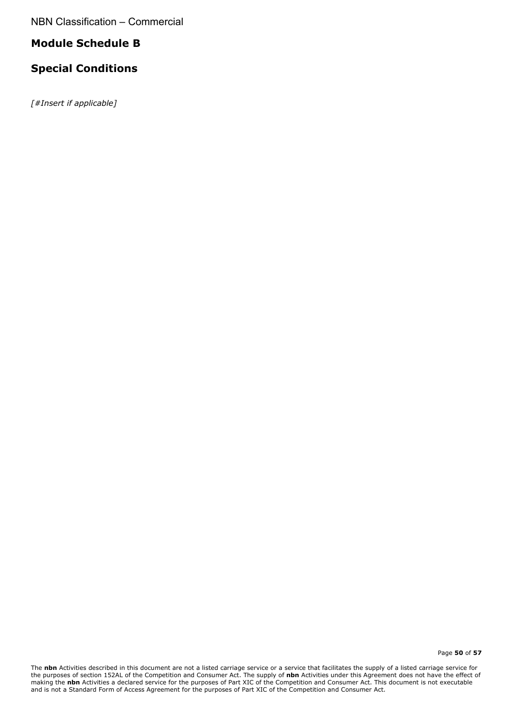## **Module Schedule B**

## **Special Conditions**

*[#Insert if applicable]*

Page **50** of **57**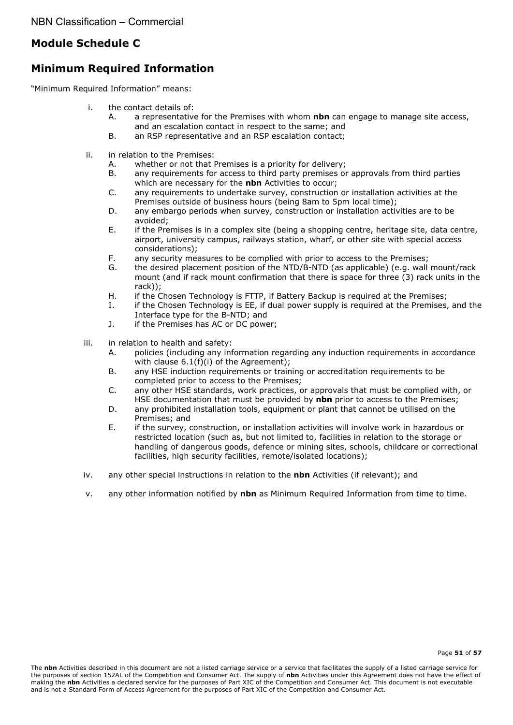## **Module Schedule C**

## **Minimum Required Information**

"Minimum Required Information" means:

- i. the contact details of:
	- A. a representative for the Premises with whom **nbn** can engage to manage site access, and an escalation contact in respect to the same; and
	- B. an RSP representative and an RSP escalation contact;
- ii. in relation to the Premises:
	- A. whether or not that Premises is a priority for delivery;
	- B. any requirements for access to third party premises or approvals from third parties which are necessary for the **nbn** Activities to occur;
	- C. any requirements to undertake survey, construction or installation activities at the Premises outside of business hours (being 8am to 5pm local time);
	- D. any embargo periods when survey, construction or installation activities are to be avoided;
	- E. if the Premises is in a complex site (being a shopping centre, heritage site, data centre, airport, university campus, railways station, wharf, or other site with special access considerations);
	- F. any security measures to be complied with prior to access to the Premises;
	- G. the desired placement position of the NTD/B-NTD (as applicable) (e.g. wall mount/rack mount (and if rack mount confirmation that there is space for three (3) rack units in the rack));
	- H. if the Chosen Technology is FTTP, if Battery Backup is required at the Premises;<br>I. if the Chosen Technology is FF, if dual nower supply is required at the Premises.
	- I. if the Chosen Technology is EE, if dual power supply is required at the Premises, and the Interface type for the B-NTD; and
	- J. if the Premises has AC or DC power;
- iii. in relation to health and safety:
	- A. policies (including any information regarding any induction requirements in accordance with clause 6.1(f)(i) of the Agreement);
	- B. any HSE induction requirements or training or accreditation requirements to be completed prior to access to the Premises;
	- C. any other HSE standards, work practices, or approvals that must be complied with, or HSE documentation that must be provided by **nbn** prior to access to the Premises;
	- D. any prohibited installation tools, equipment or plant that cannot be utilised on the Premises; and
	- E. if the survey, construction, or installation activities will involve work in hazardous or restricted location (such as, but not limited to, facilities in relation to the storage or handling of dangerous goods, defence or mining sites, schools, childcare or correctional facilities, high security facilities, remote/isolated locations);
- iv. any other special instructions in relation to the **nbn** Activities (if relevant); and
- v. any other information notified by **nbn** as Minimum Required Information from time to time.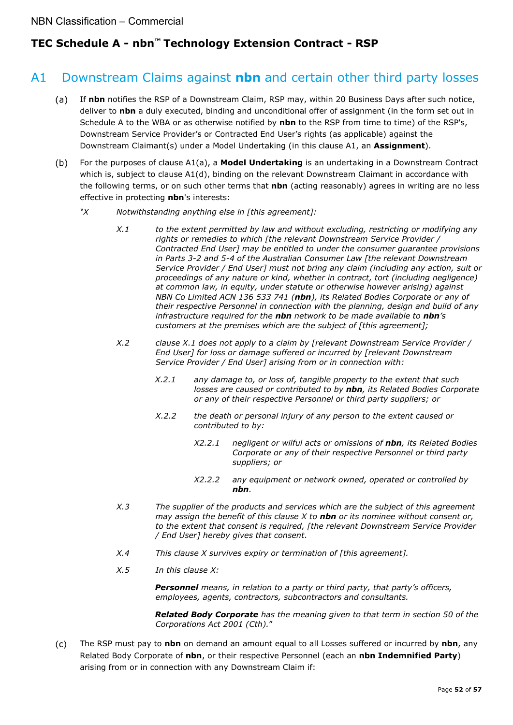## **TEC Schedule A - nbn™ Technology Extension Contract - RSP**

## <span id="page-51-0"></span>A1 Downstream Claims against **nbn** and certain other third party losses

- $(a)$ If **nbn** notifies the RSP of a Downstream Claim, RSP may, within 20 Business Days after such notice, deliver to **nbn** a duly executed, binding and unconditional offer of assignment (in the form set out in Schedule A to the WBA or as otherwise notified by **nbn** to the RSP from time to time) of the RSP's, Downstream Service Provider's or Contracted End User's rights (as applicable) against the Downstream Claimant(s) under a Model Undertaking (in this clause A1, an **Assignment**).
- <span id="page-51-1"></span>For the purposes of clause A[1\(a\),](#page-51-0) a **Model Undertaking** is an undertaking in a Downstream Contract  $(b)$ which is, subject to clause A[1\(d\),](#page-52-0) binding on the relevant Downstream Claimant in accordance with the following terms, or on such other terms that **nbn** (acting reasonably) agrees in writing are no less effective in protecting **nbn**'s interests:
	- *"X Notwithstanding anything else in [this agreement]:*
		- *X.1 to the extent permitted by law and without excluding, restricting or modifying any rights or remedies to which [the relevant Downstream Service Provider / Contracted End User] may be entitled to under the consumer guarantee provisions in Parts 3-2 and 5-4 of the Australian Consumer Law [the relevant Downstream Service Provider / End User] must not bring any claim (including any action, suit or proceedings of any nature or kind, whether in contract, tort (including negligence) at common law, in equity, under statute or otherwise however arising) against NBN Co Limited ACN 136 533 741 (nbn), its Related Bodies Corporate or any of their respective Personnel in connection with the planning, design and build of any infrastructure required for the nbn network to be made available to nbn's customers at the premises which are the subject of [this agreement];*
		- *X.2 clause X.1 does not apply to a claim by [relevant Downstream Service Provider / End User] for loss or damage suffered or incurred by [relevant Downstream Service Provider / End User] arising from or in connection with:*
			- *X.2.1 any damage to, or loss of, tangible property to the extent that such losses are caused or contributed to by nbn, its Related Bodies Corporate or any of their respective Personnel or third party suppliers; or*
			- *X.2.2 the death or personal injury of any person to the extent caused or contributed to by:*
				- *X2.2.1 negligent or wilful acts or omissions of nbn, its Related Bodies Corporate or any of their respective Personnel or third party suppliers; or*
				- *X2.2.2 any equipment or network owned, operated or controlled by nbn.*
		- *X.3 The supplier of the products and services which are the subject of this agreement may assign the benefit of this clause X to nbn or its nominee without consent or, to the extent that consent is required, [the relevant Downstream Service Provider / End User] hereby gives that consent*.
		- *X.4 This clause X survives expiry or termination of [this agreement].*
		- *X.5 In this clause X:*

*Personnel means, in relation to a party or third party, that party's officers, employees, agents, contractors, subcontractors and consultants.*

*Related Body Corporate has the meaning given to that term in section 50 of the Corporations Act 2001 (Cth).*"

<span id="page-51-2"></span> $(c)$ The RSP must pay to **nbn** on demand an amount equal to all Losses suffered or incurred by **nbn**, any Related Body Corporate of **nbn**, or their respective Personnel (each an **nbn Indemnified Party**) arising from or in connection with any Downstream Claim if: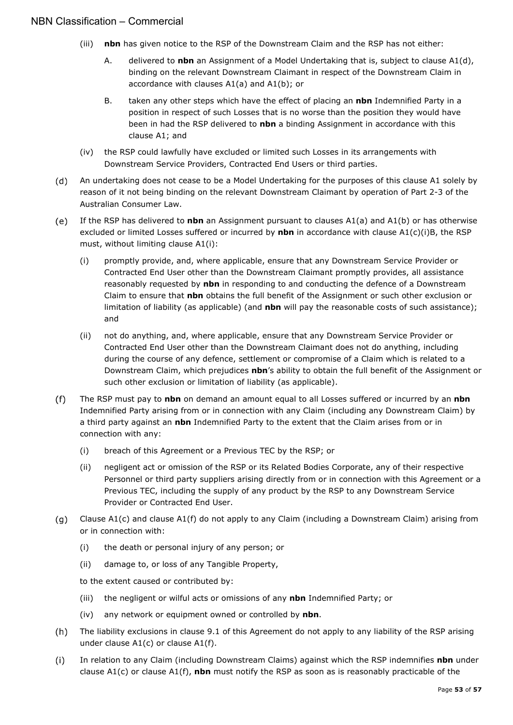- <span id="page-52-1"></span>(iii) **nbn** has given notice to the RSP of the Downstream Claim and the RSP has not either:
	- A. delivered to **nbn** an Assignment of a Model Undertaking that is, subject to clause A[1\(d\),](#page-52-0) binding on the relevant Downstream Claimant in respect of the Downstream Claim in accordance with clauses A[1\(a\)](#page-51-0) and A[1\(b\);](#page-51-1) or
	- B. taken any other steps which have the effect of placing an **nbn** Indemnified Party in a position in respect of such Losses that is no worse than the position they would have been in had the RSP delivered to **nbn** a binding Assignment in accordance with this clause A1; and
- <span id="page-52-2"></span>(iv) the RSP could lawfully have excluded or limited such Losses in its arrangements with Downstream Service Providers, Contracted End Users or third parties.
- <span id="page-52-0"></span> $(d)$ An undertaking does not cease to be a Model Undertaking for the purposes of this clause A1 solely by reason of it not being binding on the relevant Downstream Claimant by operation of Part 2-3 of the Australian Consumer Law.
- If the RSP has delivered to **nbn** an Assignment pursuant to clauses A[1\(a\)](#page-51-0) and A[1\(b\)](#page-51-1) or has otherwise  $(e)$ excluded or limited Losses suffered or incurred by **nbn** in accordance with clause A[1\(c\)](#page-51-2)[\(i\)](#page-52-1)[B,](#page-52-2) the RSP must, without limiting clause A[1\(i\):](#page-52-3)
	- (i) promptly provide, and, where applicable, ensure that any Downstream Service Provider or Contracted End User other than the Downstream Claimant promptly provides, all assistance reasonably requested by **nbn** in responding to and conducting the defence of a Downstream Claim to ensure that **nbn** obtains the full benefit of the Assignment or such other exclusion or limitation of liability (as applicable) (and **nbn** will pay the reasonable costs of such assistance); and
	- (ii) not do anything, and, where applicable, ensure that any Downstream Service Provider or Contracted End User other than the Downstream Claimant does not do anything, including during the course of any defence, settlement or compromise of a Claim which is related to a Downstream Claim, which prejudices **nbn**'s ability to obtain the full benefit of the Assignment or such other exclusion or limitation of liability (as applicable).
- <span id="page-52-4"></span> $(f)$ The RSP must pay to **nbn** on demand an amount equal to all Losses suffered or incurred by an **nbn** Indemnified Party arising from or in connection with any Claim (including any Downstream Claim) by a third party against an **nbn** Indemnified Party to the extent that the Claim arises from or in connection with any:
	- (i) breach of this Agreement or a Previous TEC by the RSP; or
	- (ii) negligent act or omission of the RSP or its Related Bodies Corporate, any of their respective Personnel or third party suppliers arising directly from or in connection with this Agreement or a Previous TEC, including the supply of any product by the RSP to any Downstream Service Provider or Contracted End User.
- Clause A[1\(c\)](#page-51-2) and clause A[1\(f\)](#page-52-4) do not apply to any Claim (including a Downstream Claim) arising from  $(q)$ or in connection with:
	- (i) the death or personal injury of any person; or
	- (ii) damage to, or loss of any Tangible Property,

to the extent caused or contributed by:

- (iii) the negligent or wilful acts or omissions of any **nbn** Indemnified Party; or
- (iv) any network or equipment owned or controlled by **nbn**.
- $(h)$ The liability exclusions in clause [9.1](#page-22-2) of this Agreement do not apply to any liability of the RSP arising under clause A[1\(c\)](#page-51-2) or clause A[1\(f\).](#page-52-4)
- <span id="page-52-3"></span> $(i)$ In relation to any Claim (including Downstream Claims) against which the RSP indemnifies **nbn** under clause A[1\(c\)](#page-51-2) or clause A[1\(f\),](#page-52-4) **nbn** must notify the RSP as soon as is reasonably practicable of the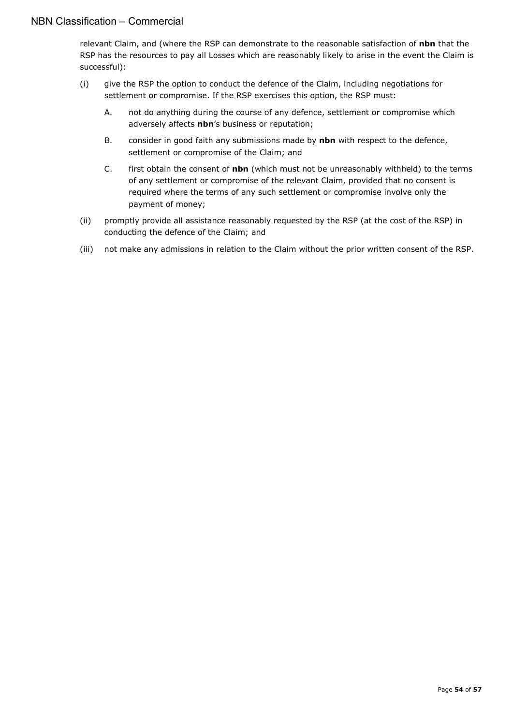relevant Claim, and (where the RSP can demonstrate to the reasonable satisfaction of **nbn** that the RSP has the resources to pay all Losses which are reasonably likely to arise in the event the Claim is successful):

- (i) give the RSP the option to conduct the defence of the Claim, including negotiations for settlement or compromise. If the RSP exercises this option, the RSP must:
	- A. not do anything during the course of any defence, settlement or compromise which adversely affects **nbn**'s business or reputation;
	- B. consider in good faith any submissions made by **nbn** with respect to the defence, settlement or compromise of the Claim; and
	- C. first obtain the consent of **nbn** (which must not be unreasonably withheld) to the terms of any settlement or compromise of the relevant Claim, provided that no consent is required where the terms of any such settlement or compromise involve only the payment of money;
- (ii) promptly provide all assistance reasonably requested by the RSP (at the cost of the RSP) in conducting the defence of the Claim; and
- (iii) not make any admissions in relation to the Claim without the prior written consent of the RSP.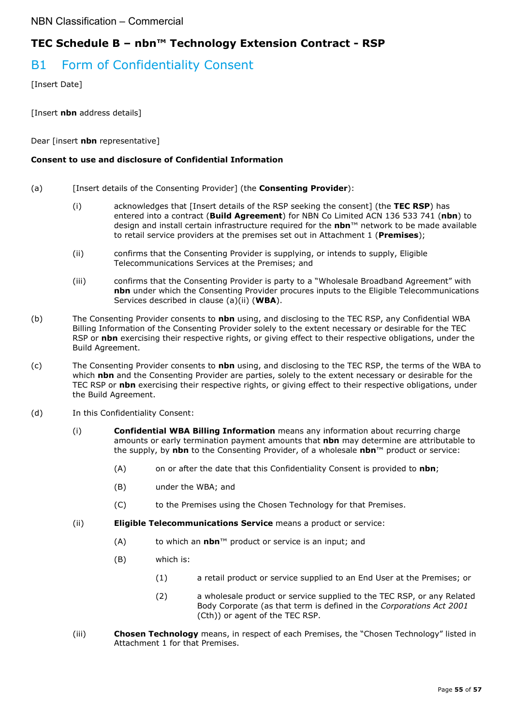## **TEC Schedule B – nbn™ Technology Extension Contract - RSP**

## B1 Form of Confidentiality Consent

[Insert Date]

[Insert **nbn** address details]

Dear [insert **nbn** representative]

#### **Consent to use and disclosure of Confidential Information**

- (a) [Insert details of the Consenting Provider] (the **Consenting Provider**):
	- (i) acknowledges that [Insert details of the RSP seeking the consent] (the **TEC RSP**) has entered into a contract (**Build Agreement**) for NBN Co Limited ACN 136 533 741 (**nbn**) to design and install certain infrastructure required for the **nbn**™ network to be made available to retail service providers at the premises set out in Attachment 1 (**Premises**);
	- (ii) confirms that the Consenting Provider is supplying, or intends to supply, Eligible Telecommunications Services at the Premises; and
	- (iii) confirms that the Consenting Provider is party to a "Wholesale Broadband Agreement" with **nbn** under which the Consenting Provider procures inputs to the Eligible Telecommunications Services described in clause (a)(ii) (**WBA**).
- (b) The Consenting Provider consents to **nbn** using, and disclosing to the TEC RSP, any Confidential WBA Billing Information of the Consenting Provider solely to the extent necessary or desirable for the TEC RSP or **nbn** exercising their respective rights, or giving effect to their respective obligations, under the Build Agreement.
- (c) The Consenting Provider consents to **nbn** using, and disclosing to the TEC RSP, the terms of the WBA to which **nbn** and the Consenting Provider are parties, solely to the extent necessary or desirable for the TEC RSP or **nbn** exercising their respective rights, or giving effect to their respective obligations, under the Build Agreement.
- (d) In this Confidentiality Consent:
	- (i) **Confidential WBA Billing Information** means any information about recurring charge amounts or early termination payment amounts that **nbn** may determine are attributable to the supply, by **nbn** to the Consenting Provider, of a wholesale **nbn**™ product or service:
		- (A) on or after the date that this Confidentiality Consent is provided to **nbn**;
		- (B) under the WBA; and
		- (C) to the Premises using the Chosen Technology for that Premises.
	- (ii) **Eligible Telecommunications Service** means a product or service:
		- (A) to which an **nbn**™ product or service is an input; and
		- (B) which is:
			- (1) a retail product or service supplied to an End User at the Premises; or
			- (2) a wholesale product or service supplied to the TEC RSP, or any Related Body Corporate (as that term is defined in the *Corporations Act 2001*  (Cth)) or agent of the TEC RSP.
	- (iii) **Chosen Technology** means, in respect of each Premises, the "Chosen Technology" listed in Attachment 1 for that Premises.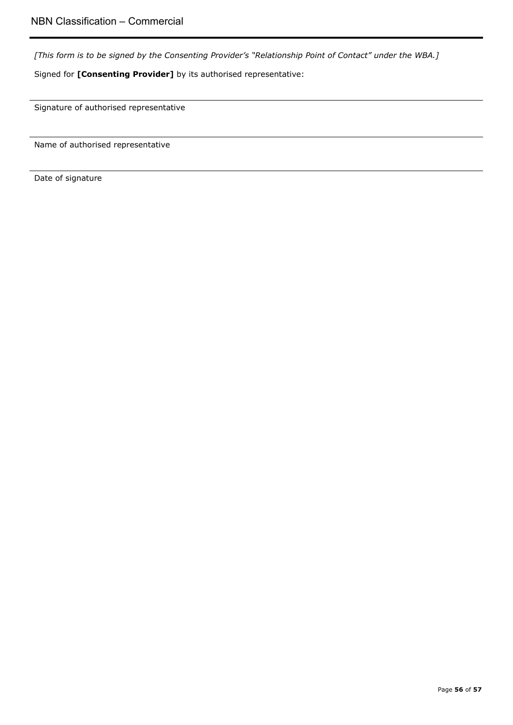*[This form is to be signed by the Consenting Provider's "Relationship Point of Contact" under the WBA.]*

Signed for **[Consenting Provider]** by its authorised representative:

Signature of authorised representative

Name of authorised representative

Date of signature